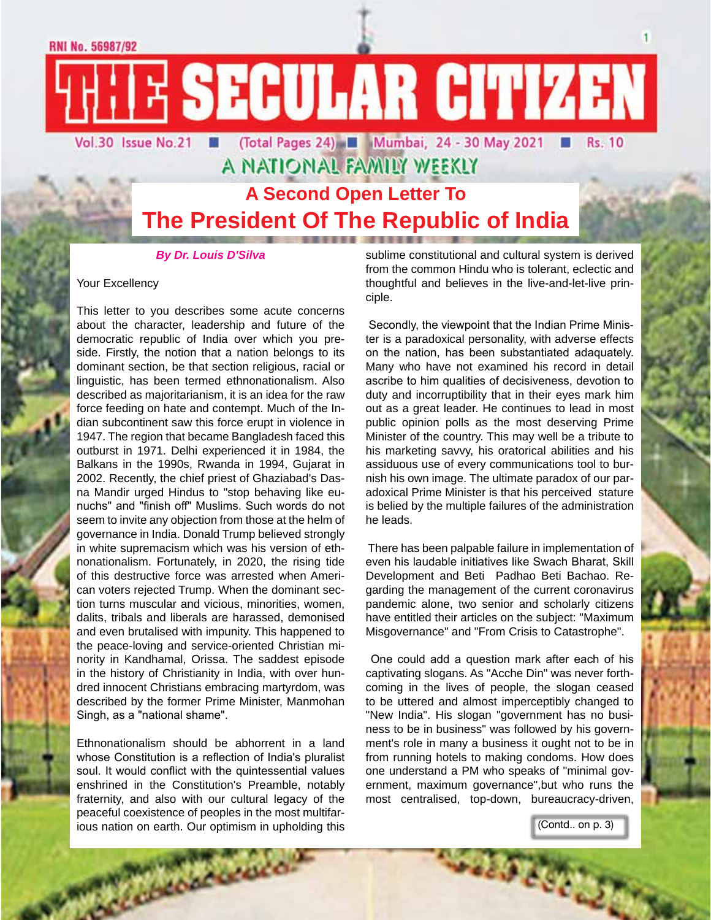

A NATIONAL FAMILY WEEKLY

## **A Second Open Letter To The President Of The Republic of India**

*By Dr. Louis D'Silva*

Your Excellency

This letter to you describes some acute concerns about the character, leadership and future of the democratic republic of India over which you preside. Firstly, the notion that a nation belongs to its dominant section, be that section religious, racial or linguistic, has been termed ethnonationalism. Also described as majoritarianism, it is an idea for the raw force feeding on hate and contempt. Much of the Indian subcontinent saw this force erupt in violence in 1947. The region that became Bangladesh faced this outburst in 1971. Delhi experienced it in 1984, the Balkans in the 1990s, Rwanda in 1994, Gujarat in 2002. Recently, the chief priest of Ghaziabad's Dasna Mandir urged Hindus to "stop behaving like eunuchs" and "finish off" Muslims. Such words do not seem to invite any objection from those at the helm of governance in India. Donald Trump believed strongly in white supremacism which was his version of ethnonationalism. Fortunately, in 2020, the rising tide of this destructive force was arrested when American voters rejected Trump. When the dominant section turns muscular and vicious, minorities, women, dalits, tribals and liberals are harassed, demonised and even brutalised with impunity. This happened to the peace-loving and service-oriented Christian minority in Kandhamal, Orissa. The saddest episode in the history of Christianity in India, with over hundred innocent Christians embracing martyrdom, was described by the former Prime Minister, Manmohan Singh, as a "national shame".

Ethnonationalism should be abhorrent in a land whose Constitution is a reflection of India's pluralist soul. It would conflict with the quintessential values enshrined in the Constitution's Preamble, notably fraternity, and also with our cultural legacy of the peaceful coexistence of peoples in the most multifarious nation on earth. Our optimism in upholding this

Calebrace

sublime constitutional and cultural system is derived from the common Hindu who is tolerant, eclectic and thoughtful and believes in the live-and-let-live principle.

 Secondly, the viewpoint that the Indian Prime Minister is a paradoxical personality, with adverse effects on the nation, has been substantiated adaquately. Many who have not examined his record in detail ascribe to him qualities of decisiveness, devotion to duty and incorruptibility that in their eyes mark him out as a great leader. He continues to lead in most public opinion polls as the most deserving Prime Minister of the country. This may well be a tribute to his marketing savvy, his oratorical abilities and his assiduous use of every communications tool to burnish his own image. The ultimate paradox of our paradoxical Prime Minister is that his perceived stature is belied by the multiple failures of the administration he leads.

 There has been palpable failure in implementation of even his laudable initiatives like Swach Bharat, Skill Development and Beti Padhao Beti Bachao. Regarding the management of the current coronavirus pandemic alone, two senior and scholarly citizens have entitled their articles on the subject: "Maximum Misgovernance" and "From Crisis to Catastrophe".

 One could add a question mark after each of his captivating slogans. As "Acche Din" was never forthcoming in the lives of people, the slogan ceased to be uttered and almost imperceptibly changed to "New India". His slogan "government has no business to be in business" was followed by his government's role in many a business it ought not to be in from running hotels to making condoms. How does one understand a PM who speaks of "minimal government, maximum governance",but who runs the most centralised, top-down, bureaucracy-driven,

(Contd.. on p. 3)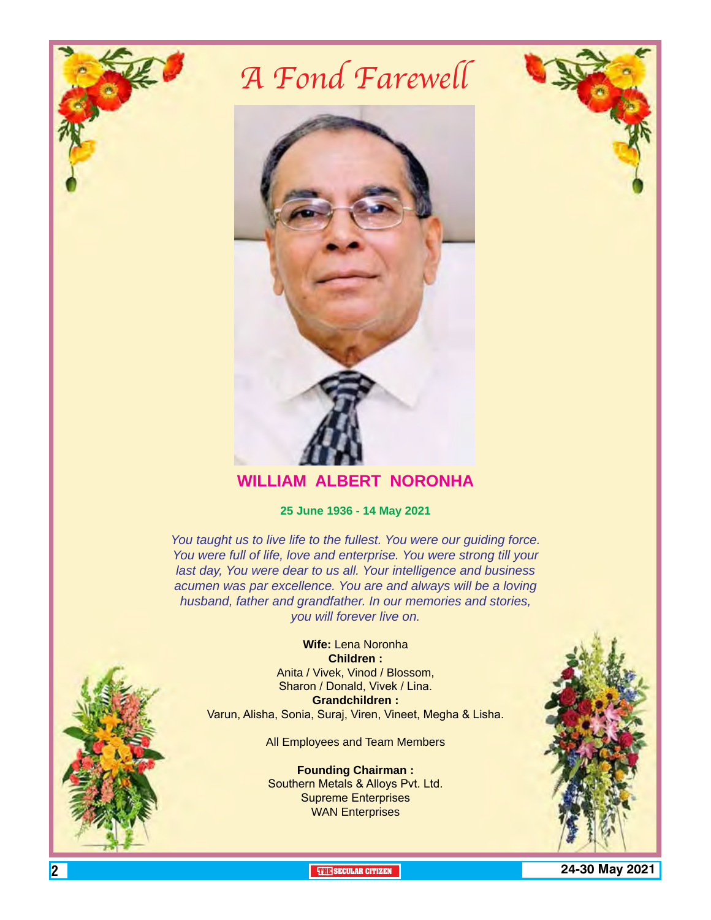## *A Fond Farewell*



### **WILLIAM ALBERT NORONHA**

### **25 June 1936 - 14 May 2021**

*You taught us to live life to the fullest. You were our guiding force. You were full of life, love and enterprise. You were strong till your last day, You were dear to us all. Your intelligence and business acumen was par excellence. You are and always will be a loving husband, father and grandfather. In our memories and stories, you will forever live on.*



**Wife:** Lena Noronha **Children :** Anita / Vivek, Vinod / Blossom, Sharon / Donald, Vivek / Lina. **Grandchildren :** Varun, Alisha, Sonia, Suraj, Viren, Vineet, Megha & Lisha.

All Employees and Team Members

**Founding Chairman :** Southern Metals & Alloys Pvt. Ltd. Supreme Enterprises WAN Enterprises



2 **THE SECULAR CITIZEN 24-30 May 2021**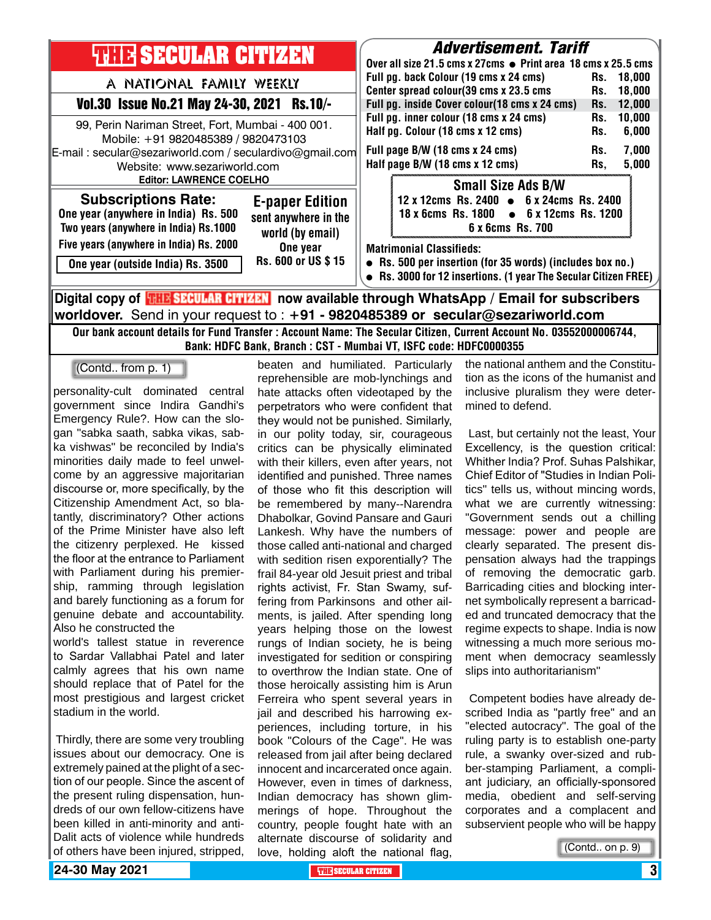| <b>THE SECULAR CITIZEN</b>                                                                                                |                                                                    | <b>Advertisement. Tariff</b><br>Over all size 21.5 cms x 27cms ● Print area 18 cms x 25.5 cms                                                                   |                                                                                                         |            |                  |
|---------------------------------------------------------------------------------------------------------------------------|--------------------------------------------------------------------|-----------------------------------------------------------------------------------------------------------------------------------------------------------------|---------------------------------------------------------------------------------------------------------|------------|------------------|
| A NATIONAL FAMILY WEEKLY                                                                                                  |                                                                    |                                                                                                                                                                 | Full pg. back Colour (19 cms x 24 cms)<br>Center spread colour(39 cms x 23.5 cms                        | Rs.<br>Rs. | 18.000<br>18.000 |
| Vol.30 Issue No.21 May 24-30, 2021 Rs.10/-                                                                                |                                                                    |                                                                                                                                                                 | Full pg. inside Cover colour(18 cms x 24 cms)                                                           | Rs.        | 12,000           |
| 99, Perin Nariman Street, Fort, Mumbai - 400 001.<br>Mobile: +91 9820485389 / 9820473103                                  |                                                                    |                                                                                                                                                                 | Full pg. inner colour (18 cms x 24 cms)<br>Half pg. Colour (18 cms x 12 cms)                            | Rs.<br>Rs. | 10,000<br>6,000  |
| E-mail: secular@sezariworld.com / seculardivo@gmail.com<br>Website: www.sezariworld.com<br><b>Editor: LAWRENCE COELHO</b> |                                                                    |                                                                                                                                                                 | Full page B/W (18 cms x 24 cms)<br>Half page B/W (18 cms x 12 cms)                                      |            | 7,000<br>5,000   |
|                                                                                                                           |                                                                    |                                                                                                                                                                 | <b>Small Size Ads B/W</b>                                                                               |            |                  |
| <b>Subscriptions Rate:</b><br>One year (anywhere in India) Rs. 500<br>Two years (anywhere in India) Rs.1000               | <b>E-paper Edition</b><br>sent anywhere in the<br>world (by email) |                                                                                                                                                                 | 12 x 12cms Rs. 2400 • 6 x 24cms Rs. 2400<br>18 x 6cms Rs. 1800 • 6 x 12cms Rs. 1200<br>6 x 6cms Rs. 700 |            |                  |
| Five years (anywhere in India) Rs. 2000                                                                                   | One year                                                           | <b>Matrimonial Classifieds:</b><br>• Rs. 500 per insertion (for 35 words) (includes box no.)<br>• Rs. 3000 for 12 insertions. (1 year The Secular Citizen FREE) |                                                                                                         |            |                  |
| One year (outside India) Rs. 3500                                                                                         | Rs. 600 or US \$15                                                 |                                                                                                                                                                 |                                                                                                         |            |                  |
| Digital copy of <mark>THE SECULAR CITIMAN</mark> now available through WhatsApp / Email for subscribers                   |                                                                    |                                                                                                                                                                 |                                                                                                         |            |                  |

**worldover.** Send in your request to : **+91 - 9820485389 or secular@sezariworld.com**

Our bank account details for Fund Transfer : Account Name: The Secular Citizen, Current Account No. 03552000006744, Bank: HDFC Bank, Branch : CST - Mumbai VT, ISFC code: HDFC0000355

(Contd.. from p. 1)

personality-cult dominated central government since Indira Gandhi's Emergency Rule?. How can the slogan "sabka saath, sabka vikas, sabka vishwas" be reconciled by India's minorities daily made to feel unwelcome by an aggressive majoritarian discourse or, more specifically, by the Citizenship Amendment Act, so blatantly, discriminatory? Other actions of the Prime Minister have also left the citizenry perplexed. He kissed the floor at the entrance to Parliament with Parliament during his premiership, ramming through legislation and barely functioning as a forum for genuine debate and accountability. Also he constructed the

world's tallest statue in reverence to Sardar Vallabhai Patel and later calmly agrees that his own name should replace that of Patel for the most prestigious and largest cricket stadium in the world.

 Thirdly, there are some very troubling issues about our democracy. One is extremely pained at the plight of a section of our people. Since the ascent of the present ruling dispensation, hundreds of our own fellow-citizens have been killed in anti-minority and anti-Dalit acts of violence while hundreds of others have been injured, stripped,

beaten and humiliated. Particularly reprehensible are mob-lynchings and hate attacks often videotaped by the perpetrators who were confident that they would not be punished. Similarly, in our polity today, sir, courageous critics can be physically eliminated with their killers, even after years, not identified and punished. Three names of those who fit this description will be remembered by many--Narendra Dhabolkar, Govind Pansare and Gauri Lankesh. Why have the numbers of those called anti-national and charged with sedition risen exporentially? The frail 84-year old Jesuit priest and tribal rights activist, Fr. Stan Swamy, suffering from Parkinsons and other ailments, is jailed. After spending long years helping those on the lowest rungs of Indian society, he is being investigated for sedition or conspiring to overthrow the Indian state. One of those heroically assisting him is Arun Ferreira who spent several years in jail and described his harrowing experiences, including torture, in his book "Colours of the Cage". He was released from jail after being declared innocent and incarcerated once again. However, even in times of darkness, Indian democracy has shown glimmerings of hope. Throughout the country, people fought hate with an alternate discourse of solidarity and

the national anthem and the Constitution as the icons of the humanist and inclusive pluralism they were determined to defend.

 Last, but certainly not the least, Your Excellency, is the question critical: Whither India? Prof. Suhas Palshikar, Chief Editor of "Studies in Indian Politics" tells us, without mincing words, what we are currently witnessing: "Government sends out a chilling message: power and people are clearly separated. The present dispensation always had the trappings of removing the democratic garb. Barricading cities and blocking internet symbolically represent a barricaded and truncated democracy that the regime expects to shape. India is now witnessing a much more serious moment when democracy seamlessly slips into authoritarianism"

 Competent bodies have already described India as "partly free" and an "elected autocracy". The goal of the ruling party is to establish one-party rule, a swanky over-sized and rubber-stamping Parliament, a compliant judiciary, an officially-sponsored media, obedient and self-serving corporates and a complacent and subservient people who will be happy

(Contd.. on p. 9)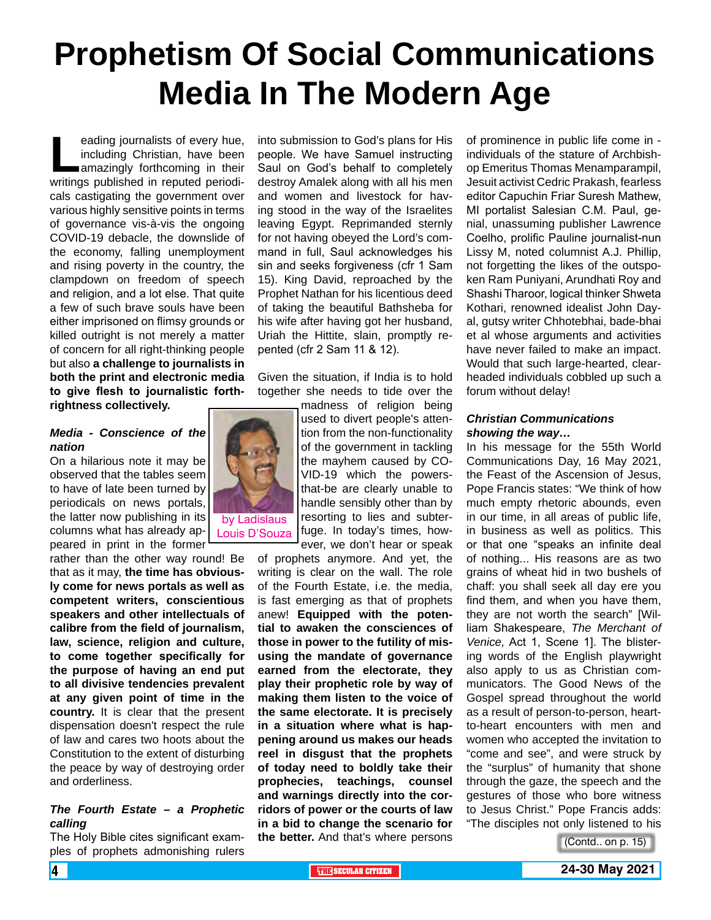## **Prophetism Of Social Communications Media In The Modern Age**

eading journalists of every hue,<br>
including Christian, have been<br>
amazingly forthcoming in their<br>
writings published in reputed periodiincluding Christian, have been amazingly forthcoming in their cals castigating the government over various highly sensitive points in terms of governance vis-à-vis the ongoing COVID-19 debacle, the downslide of the economy, falling unemployment and rising poverty in the country, the clampdown on freedom of speech and religion, and a lot else. That quite a few of such brave souls have been either imprisoned on flimsy grounds or killed outright is not merely a matter of concern for all right-thinking people but also **a challenge to journalists in both the print and electronic media to give flesh to journalistic forthrightness collectively.** 

### *Media - Conscience of the nation*

On a hilarious note it may be observed that the tables seem to have of late been turned by periodicals on news portals, the latter now publishing in its columns what has already appeared in print in the former

rather than the other way round! Be that as it may, **the time has obviously come for news portals as well as competent writers, conscientious speakers and other intellectuals of calibre from the field of journalism, law, science, religion and culture, to come together specifically for the purpose of having an end put to all divisive tendencies prevalent at any given point of time in the country.** It is clear that the present dispensation doesn't respect the rule of law and cares two hoots about the Constitution to the extent of disturbing the peace by way of destroying order and orderliness.

#### *The Fourth Estate – a Prophetic calling*

The Holy Bible cites significant examples of prophets admonishing rulers

into submission to God's plans for His people. We have Samuel instructing Saul on God's behalf to completely destroy Amalek along with all his men and women and livestock for having stood in the way of the Israelites leaving Egypt. Reprimanded sternly for not having obeyed the Lord's command in full, Saul acknowledges his sin and seeks forgiveness (cfr 1 Sam 15). King David, reproached by the Prophet Nathan for his licentious deed of taking the beautiful Bathsheba for his wife after having got her husband, Uriah the Hittite, slain, promptly repented (cfr 2 Sam 11 & 12).

Given the situation, if India is to hold together she needs to tide over the

of prophets anymore. And yet, the writing is clear on the wall. The role of the Fourth Estate, i.e. the media, is fast emerging as that of prophets anew! **Equipped with the potential to awaken the consciences of those in power to the futility of misusing the mandate of governance earned from the electorate, they play their prophetic role by way of making them listen to the voice of the same electorate. It is precisely in a situation where what is happening around us makes our heads reel in disgust that the prophets of today need to boldly take their prophecies, teachings, counsel and warnings directly into the corridors of power or the courts of law in a bid to change the scenario for the better.** And that's where persons

madness of religion being used to divert people's attention from the non-functionality of the government in tackling the mayhem caused by CO-VID-19 which the powersthat-be are clearly unable to handle sensibly other than by resorting to lies and subterfuge. In today's times, howby Ladislaus

ever, we don't hear or speak Louis D'Souza

of prominence in public life come in individuals of the stature of Archbishop Emeritus Thomas Menamparampil, Jesuit activist Cedric Prakash, fearless editor Capuchin Friar Suresh Mathew, MI portalist Salesian C.M. Paul, genial, unassuming publisher Lawrence Coelho, prolific Pauline journalist-nun Lissy M, noted columnist A.J. Phillip, not forgetting the likes of the outspoken Ram Puniyani, Arundhati Roy and Shashi Tharoor, logical thinker Shweta Kothari, renowned idealist John Dayal, gutsy writer Chhotebhai, bade-bhai et al whose arguments and activities have never failed to make an impact. Would that such large-hearted, clearheaded individuals cobbled up such a forum without delay!

#### *Christian Communications showing the way…*

In his message for the 55th World Communications Day, 16 May 2021, the Feast of the Ascension of Jesus, Pope Francis states: "We think of how much empty rhetoric abounds, even in our time, in all areas of public life, in business as well as politics. This or that one "speaks an infinite deal of nothing... His reasons are as two grains of wheat hid in two bushels of chaff: you shall seek all day ere you find them, and when you have them, they are not worth the search" [William Shakespeare, *The Merchant of Venice,* Act 1, Scene 1]. The blistering words of the English playwright also apply to us as Christian communicators. The Good News of the Gospel spread throughout the world as a result of person-to-person, heartto-heart encounters with men and women who accepted the invitation to "come and see", and were struck by the "surplus" of humanity that shone through the gaze, the speech and the gestures of those who bore witness to Jesus Christ." Pope Francis adds: "The disciples not only listened to his



<sup>(</sup>Contd.. on p. 15)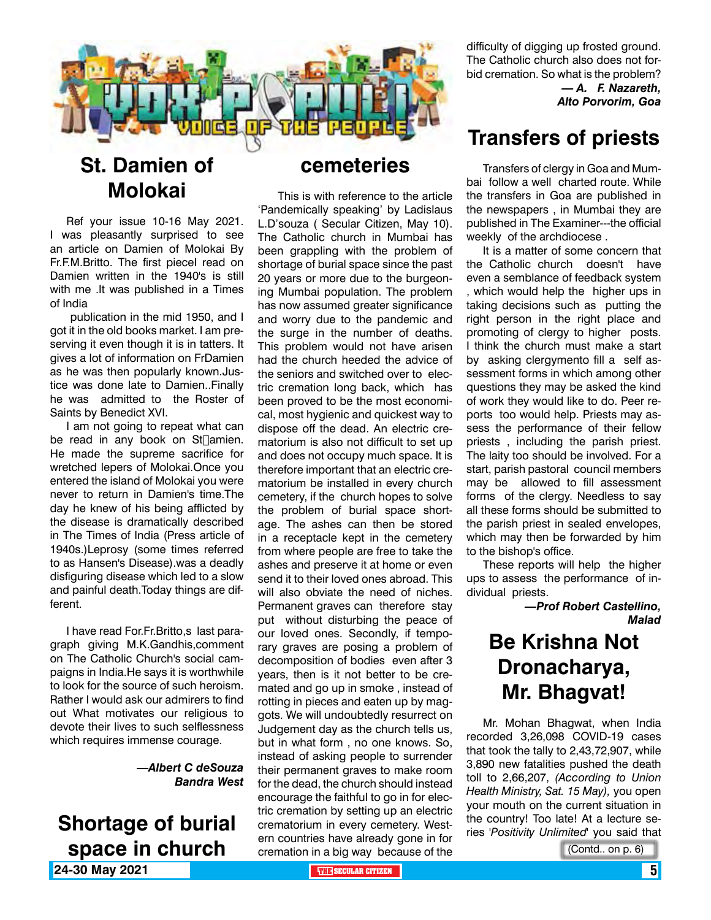

### **St. Damien of Molokai**

Ref your issue 10-16 May 2021. I was pleasantly surprised to see an article on Damien of Molokai By Fr.F.M.Britto. The first pieceI read on Damien written in the 1940's is still with me .It was published in a Times of India

 publication in the mid 1950, and I got it in the old books market. I am preserving it even though it is in tatters. It gives a lot of information on FrDamien as he was then popularly known.Justice was done late to Damien..Finally he was admitted to the Roster of Saints by Benedict XVI.

I am not going to repeat what can be read in any book on St∏amien. He made the supreme sacrifice for wretched lepers of Molokai.Once you entered the island of Molokai you were never to return in Damien's time.The day he knew of his being afflicted by the disease is dramatically described in The Times of India (Press article of 1940s.)Leprosy (some times referred to as Hansen's Disease).was a deadly disfiguring disease which led to a slow and painful death.Today things are different.

I have read For.Fr.Britto,s last paragraph giving M.K.Gandhis,comment on The Catholic Church's social campaigns in India.He says it is worthwhile to look for the source of such heroism. Rather I would ask our admirers to find out What motivates our religious to devote their lives to such selflessness which requires immense courage.

> *—Albert C deSouza Bandra West*

### **Shortage of burial space in church**

**24-30 May 2021 THE SECULAR CITIZEN THE SECULAR CITIZEN 5** 

### **cemeteries**

 This is with reference to the article 'Pandemically speaking' by Ladislaus L.D'souza ( Secular Citizen, May 10). The Catholic church in Mumbai has been grappling with the problem of shortage of burial space since the past 20 years or more due to the burgeoning Mumbai population. The problem has now assumed greater significance and worry due to the pandemic and the surge in the number of deaths. This problem would not have arisen had the church heeded the advice of the seniors and switched over to electric cremation long back, which has been proved to be the most economical, most hygienic and quickest way to dispose off the dead. An electric crematorium is also not difficult to set up and does not occupy much space. It is therefore important that an electric crematorium be installed in every church cemetery, if the church hopes to solve the problem of burial space shortage. The ashes can then be stored in a receptacle kept in the cemetery from where people are free to take the ashes and preserve it at home or even send it to their loved ones abroad. This will also obviate the need of niches. Permanent graves can therefore stay put without disturbing the peace of our loved ones. Secondly, if temporary graves are posing a problem of decomposition of bodies even after 3 years, then is it not better to be cremated and go up in smoke , instead of rotting in pieces and eaten up by maggots. We will undoubtedly resurrect on Judgement day as the church tells us, but in what form , no one knows. So, instead of asking people to surrender their permanent graves to make room for the dead, the church should instead encourage the faithful to go in for electric cremation by setting up an electric crematorium in every cemetery. Western countries have already gone in for cremation in a big way because of the

difficulty of digging up frosted ground. The Catholic church also does not forbid cremation. So what is the problem? *— A. F. Nazareth,*

*Alto Porvorim, Goa* 

### **Transfers of priests**

Transfers of clergy in Goa and Mumbai follow a well charted route. While the transfers in Goa are published in the newspapers , in Mumbai they are published in The Examiner---the official weekly of the archdiocese .

It is a matter of some concern that the Catholic church doesn't have even a semblance of feedback system , which would help the higher ups in taking decisions such as putting the right person in the right place and promoting of clergy to higher posts. I think the church must make a start by asking clergymento fill a self assessment forms in which among other questions they may be asked the kind of work they would like to do. Peer reports too would help. Priests may assess the performance of their fellow priests , including the parish priest. The laity too should be involved. For a start, parish pastoral council members may be allowed to fill assessment forms of the clergy. Needless to say all these forms should be submitted to the parish priest in sealed envelopes, which may then be forwarded by him to the bishop's office.

These reports will help the higher ups to assess the performance of individual priests.

> *—Prof Robert Castellino, Malad*

### **Be Krishna Not Dronacharya, Mr. Bhagvat!**

Mr. Mohan Bhagwat, when India recorded 3,26,098 COVID-19 cases that took the tally to 2,43,72,907, while 3,890 new fatalities pushed the death toll to 2,66,207, *(According to Union Health Ministry, Sat. 15 May),* you open your mouth on the current situation in the country! Too late! At a lecture series *'Positivity Unlimited'* you said that

(Contd.. on p. 6)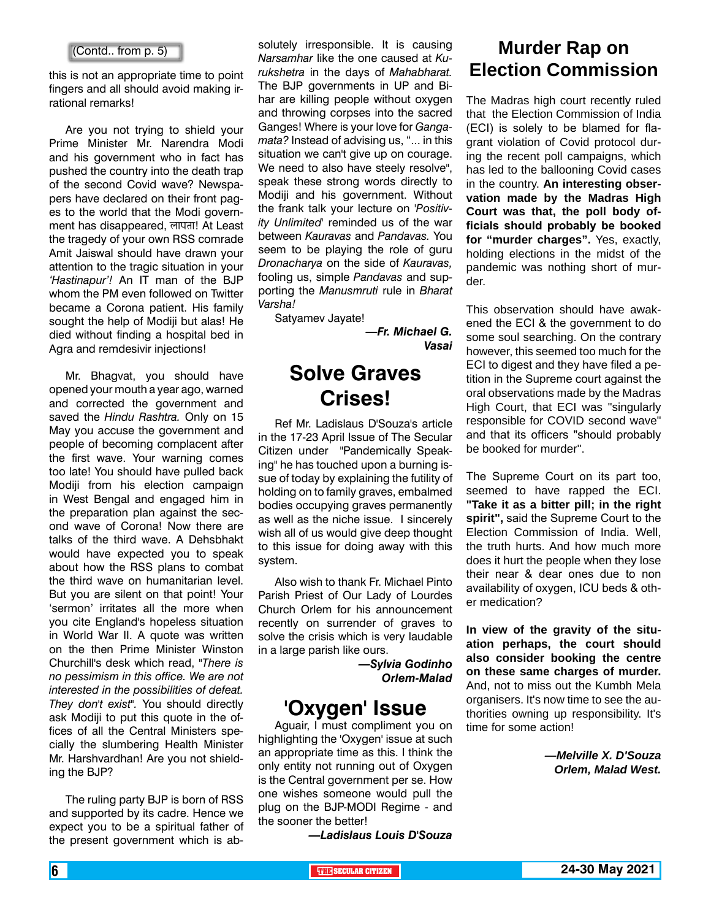this is not an appropriate time to point fingers and all should avoid making irrational remarks!

Are you not trying to shield your Prime Minister Mr. Narendra Modi and his government who in fact has pushed the country into the death trap of the second Covid wave? Newspapers have declared on their front pages to the world that the Modi government has disappeared, लापता! At Least the tragedy of your own RSS comrade Amit Jaiswal should have drawn your attention to the tragic situation in your *'Hastinapur'!* An IT man of the BJP whom the PM even followed on Twitter became a Corona patient. His family sought the help of Modiji but alas! He died without finding a hospital bed in Agra and remdesivir injections!

Mr. Bhagvat, you should have opened your mouth a year ago, warned and corrected the government and saved the *Hindu Rashtra.* Only on 15 May you accuse the government and people of becoming complacent after the first wave. Your warning comes too late! You should have pulled back Modiji from his election campaign in West Bengal and engaged him in the preparation plan against the second wave of Corona! Now there are talks of the third wave. A Dehsbhakt would have expected you to speak about how the RSS plans to combat the third wave on humanitarian level. But you are silent on that point! Your 'sermon' irritates all the more when you cite England's hopeless situation in World War II. A quote was written on the then Prime Minister Winston Churchill's desk which read, *"There is no pessimism in this office. We are not interested in the possibilities of defeat. They don't exist".* You should directly ask Modiji to put this quote in the offices of all the Central Ministers specially the slumbering Health Minister Mr. Harshvardhan! Are you not shielding the BJP?

The ruling party BJP is born of RSS and supported by its cadre. Hence we expect you to be a spiritual father of the present government which is ab-

solutely irresponsible. It is causing *Narsamhar* like the one caused at *Kurukshetra* in the days of *Mahabharat.* The BJP governments in UP and Bihar are killing people without oxygen and throwing corpses into the sacred Ganges! Where is your love for *Gangamata?* Instead of advising us, "... in this situation we can't give up on courage. We need to also have steely resolve", speak these strong words directly to Modiji and his government. Without the frank talk your lecture on *'Positivity Unlimited'* reminded us of the war between *Kauravas* and *Pandavas.* You seem to be playing the role of guru *Dronacharya* on the side of *Kauravas,* fooling us, simple *Pandavas* and supporting the *Manusmruti* rule in *Bharat Varsha!* **(Contd.. from p. 5) Multer Rap on a solutely irresponsible.** It is causing **Murder Rap on** 

> Satyamev Jayate! *—Fr. Michael G. Vasai*

### **Solve Graves Crises!**

Ref Mr. Ladislaus D'Souza's article in the 17-23 April Issue of The Secular Citizen under "Pandemically Speaking" he has touched upon a burning issue of today by explaining the futility of holding on to family graves, embalmed bodies occupying graves permanently as well as the niche issue. I sincerely wish all of us would give deep thought to this issue for doing away with this system.

Also wish to thank Fr. Michael Pinto Parish Priest of Our Lady of Lourdes Church Orlem for his announcement recently on surrender of graves to solve the crisis which is very laudable in a large parish like ours.

> *—Sylvia Godinho Orlem-Malad*

### **'Oxygen' Issue**

Aguair, I must compliment you on highlighting the 'Oxygen' issue at such an appropriate time as this. I think the only entity not running out of Oxygen is the Central government per se. How one wishes someone would pull the plug on the BJP-MODI Regime - and the sooner the better!

*—Ladislaus Louis D'Souza*

# **Election Commission**

The Madras high court recently ruled that the Election Commission of India (ECI) is solely to be blamed for flagrant violation of Covid protocol during the recent poll campaigns, which has led to the ballooning Covid cases in the country. **An interesting observation made by the Madras High Court was that, the poll body officials should probably be booked for "murder charges".** Yes, exactly, holding elections in the midst of the pandemic was nothing short of murder.

This observation should have awakened the ECI & the government to do some soul searching. On the contrary however, this seemed too much for the ECI to digest and they have filed a petition in the Supreme court against the oral observations made by the Madras High Court, that ECI was "singularly responsible for COVID second wave" and that its officers "should probably be booked for murder".

The Supreme Court on its part too, seemed to have rapped the ECI. **"Take it as a bitter pill; in the right spirit",** said the Supreme Court to the Election Commission of India. Well, the truth hurts. And how much more does it hurt the people when they lose their near & dear ones due to non availability of oxygen, ICU beds & other medication?

**In view of the gravity of the situation perhaps, the court should also consider booking the centre on these same charges of murder.** And, not to miss out the Kumbh Mela organisers. It's now time to see the authorities owning up responsibility. It's time for some action!

> *—Melville X. D'Souza Orlem, Malad West.*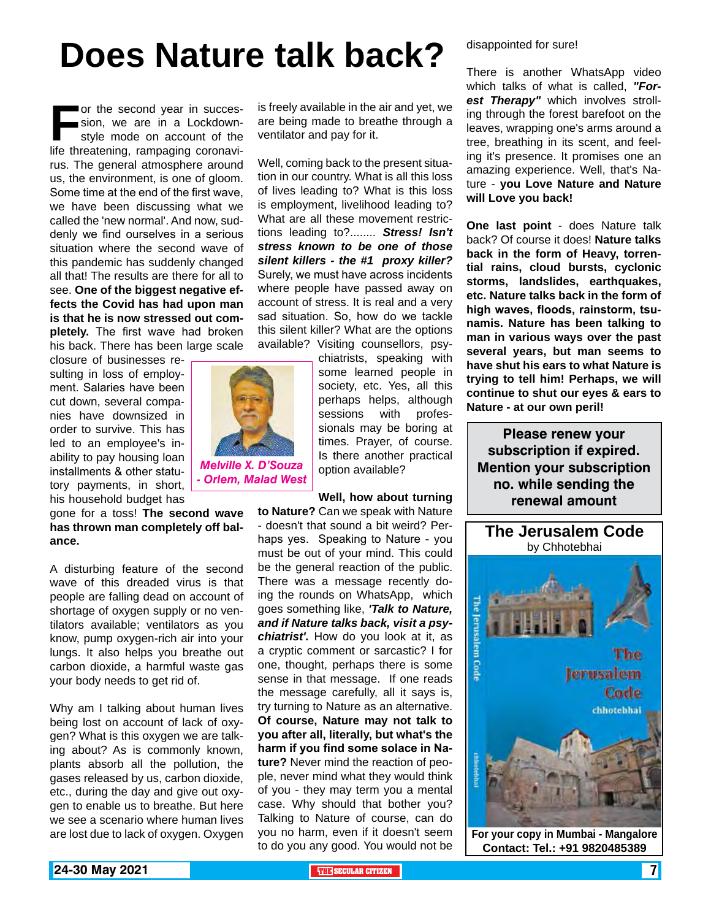# **Does Nature talk back?**

**For the second year in succes-**<br>sion, we are in a Lockdown-<br>style mode on account of the<br>life threatening, rampaging coronavision, we are in a Lockdownstyle mode on account of the life threatening, rampaging coronavirus. The general atmosphere around us, the environment, is one of gloom. Some time at the end of the first wave, we have been discussing what we called the 'new normal'. And now, suddenly we find ourselves in a serious situation where the second wave of this pandemic has suddenly changed all that! The results are there for all to see. **One of the biggest negative effects the Covid has had upon man is that he is now stressed out completely.** The first wave had broken his back. There has been large scale

closure of businesses resulting in loss of employment. Salaries have been cut down, several companies have downsized in order to survive. This has led to an employee's inability to pay housing loan installments & other statutory payments, in short, his household budget has

gone for a toss! **The second wave has thrown man completely off balance.**

A disturbing feature of the second wave of this dreaded virus is that people are falling dead on account of shortage of oxygen supply or no ventilators available; ventilators as you know, pump oxygen-rich air into your lungs. It also helps you breathe out carbon dioxide, a harmful waste gas your body needs to get rid of.

Why am I talking about human lives being lost on account of lack of oxygen? What is this oxygen we are talking about? As is commonly known, plants absorb all the pollution, the gases released by us, carbon dioxide, etc., during the day and give out oxygen to enable us to breathe. But here we see a scenario where human lives are lost due to lack of oxygen. Oxygen is freely available in the air and yet, we are being made to breathe through a ventilator and pay for it.

Well, coming back to the present situation in our country. What is all this loss of lives leading to? What is this loss is employment, livelihood leading to? What are all these movement restrictions leading to?........ *Stress! Isn't stress known to be one of those silent killers - the #1 proxy killer?* Surely, we must have across incidents where people have passed away on account of stress. It is real and a very sad situation. So, how do we tackle this silent killer? What are the options available? Visiting counsellors, psy-

chiatrists, speaking with some learned people in society, etc. Yes, all this perhaps helps, although sessions with professionals may be boring at times. Prayer, of course. Is there another practical option available?

**Well, how about turning to Nature?** Can we speak with Nature - doesn't that sound a bit weird? Perhaps yes. Speaking to Nature - you must be out of your mind. This could be the general reaction of the public. There was a message recently doing the rounds on WhatsApp, which goes something like, *'Talk to Nature, and if Nature talks back, visit a psychiatrist'.* How do you look at it, as a cryptic comment or sarcastic? I for one, thought, perhaps there is some sense in that message. If one reads the message carefully, all it says is, try turning to Nature as an alternative. **Of course, Nature may not talk to you after all, literally, but what's the harm if you find some solace in Nature?** Never mind the reaction of people, never mind what they would think of you - they may term you a mental case. Why should that bother you? Talking to Nature of course, can do you no harm, even if it doesn't seem to do you any good. You would not be disappointed for sure!

There is another WhatsApp video which talks of what is called, *"Forest Therapy"* which involves strolling through the forest barefoot on the leaves, wrapping one's arms around a tree, breathing in its scent, and feeling it's presence. It promises one an amazing experience. Well, that's Nature - **you Love Nature and Nature will Love you back!**

**One last point** - does Nature talk back? Of course it does! **Nature talks back in the form of Heavy, torrential rains, cloud bursts, cyclonic storms, landslides, earthquakes, etc. Nature talks back in the form of high waves, floods, rainstorm, tsunamis. Nature has been talking to man in various ways over the past several years, but man seems to have shut his ears to what Nature is trying to tell him! Perhaps, we will continue to shut our eyes & ears to Nature - at our own peril!**

**Please renew your subscription if expired. Mention your subscription no. while sending the renewal amount**



**Contact: Tel.: +91 9820485389**

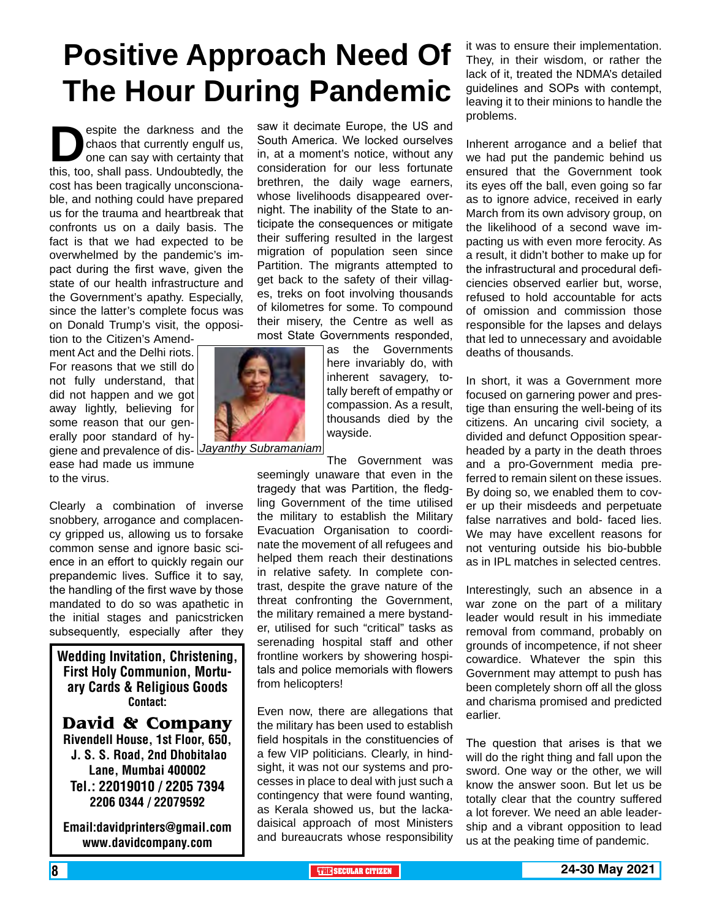## **Positive Approach Need Of The Hour During Pandemic**

espite the darkness and the chaos that currently engulf us, one can say with certainty that this, too, shall pass. Undoubtedly, the chaos that currently engulf us, one can say with certainty that this, too, shall pass. Undoubtedly, the cost has been tragically unconscionable, and nothing could have prepared us for the trauma and heartbreak that confronts us on a daily basis. The fact is that we had expected to be overwhelmed by the pandemic's impact during the first wave, given the state of our health infrastructure and the Government's apathy. Especially, since the latter's complete focus was on Donald Trump's visit, the opposi-

tion to the Citizen's Amendment Act and the Delhi riots. For reasons that we still do not fully understand, that did not happen and we got away lightly, believing for some reason that our generally poor standard of hy-

giene and prevalence of dis-*Jayanthy Subramaniam* ease had made us immune to the virus.

Clearly a combination of inverse snobbery, arrogance and complacency gripped us, allowing us to forsake common sense and ignore basic science in an effort to quickly regain our prepandemic lives. Suffice it to say, the handling of the first wave by those mandated to do so was apathetic in the initial stages and panicstricken subsequently, especially after they

Wedding Invitation, Christening, First Holy Communion, Mortuary Cards & Religious Goods Contact:

**David & Company** Rivendell House, 1st Floor, 650, J. S. S. Road, 2nd Dhobitalao Lane, Mumbai 400002 Tel.: 22019010 / 2205 7394 2206 0344 / 22079592

Email:davidprinters@gmail.com www.davidcompany.com

saw it decimate Europe, the US and South America. We locked ourselves in, at a moment's notice, without any consideration for our less fortunate brethren, the daily wage earners, whose livelihoods disappeared overnight. The inability of the State to anticipate the consequences or mitigate their suffering resulted in the largest migration of population seen since Partition. The migrants attempted to get back to the safety of their villages, treks on foot involving thousands of kilometres for some. To compound their misery, the Centre as well as most State Governments responded,

> as the Governments here invariably do, with inherent savagery, totally bereft of empathy or compassion. As a result, thousands died by the wayside.

The Government was seemingly unaware that even in the tragedy that was Partition, the fledgling Government of the time utilised the military to establish the Military Evacuation Organisation to coordinate the movement of all refugees and helped them reach their destinations in relative safety. In complete contrast, despite the grave nature of the threat confronting the Government, the military remained a mere bystander, utilised for such "critical" tasks as serenading hospital staff and other frontline workers by showering hospitals and police memorials with flowers from helicopters!

Even now, there are allegations that the military has been used to establish field hospitals in the constituencies of a few VIP politicians. Clearly, in hindsight, it was not our systems and processes in place to deal with just such a contingency that were found wanting, as Kerala showed us, but the lackadaisical approach of most Ministers and bureaucrats whose responsibility it was to ensure their implementation. They, in their wisdom, or rather the lack of it, treated the NDMA's detailed guidelines and SOPs with contempt, leaving it to their minions to handle the problems.

Inherent arrogance and a belief that we had put the pandemic behind us ensured that the Government took its eyes off the ball, even going so far as to ignore advice, received in early March from its own advisory group, on the likelihood of a second wave impacting us with even more ferocity. As a result, it didn't bother to make up for the infrastructural and procedural deficiencies observed earlier but, worse, refused to hold accountable for acts of omission and commission those responsible for the lapses and delays that led to unnecessary and avoidable deaths of thousands.

In short, it was a Government more focused on garnering power and prestige than ensuring the well-being of its citizens. An uncaring civil society, a divided and defunct Opposition spearheaded by a party in the death throes and a pro-Government media preferred to remain silent on these issues. By doing so, we enabled them to cover up their misdeeds and perpetuate false narratives and bold- faced lies. We may have excellent reasons for not venturing outside his bio-bubble as in IPL matches in selected centres.

Interestingly, such an absence in a war zone on the part of a military leader would result in his immediate removal from command, probably on grounds of incompetence, if not sheer cowardice. Whatever the spin this Government may attempt to push has been completely shorn off all the gloss and charisma promised and predicted earlier.

The question that arises is that we will do the right thing and fall upon the sword. One way or the other, we will know the answer soon. But let us be totally clear that the country suffered a lot forever. We need an able leadership and a vibrant opposition to lead us at the peaking time of pandemic.

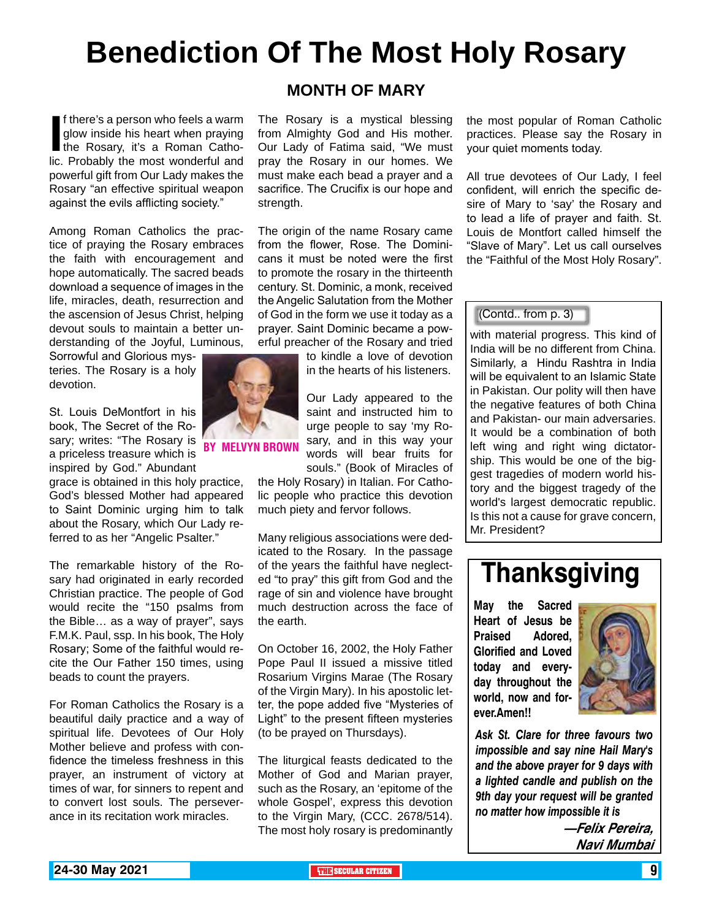## **Benediction Of The Most Holy Rosary**

If there's a person who feels a warm<br>glow inside his heart when praying<br>the Rosary, it's a Roman Catho-<br>lic. Probably the most wonderful and f there's a person who feels a warm glow inside his heart when praying the Rosary, it's a Roman Cathopowerful gift from Our Lady makes the Rosary "an effective spiritual weapon against the evils afflicting society."

Among Roman Catholics the practice of praying the Rosary embraces the faith with encouragement and hope automatically. The sacred beads download a sequence of images in the life, miracles, death, resurrection and the ascension of Jesus Christ, helping devout souls to maintain a better understanding of the Joyful, Luminous,

Sorrowful and Glorious mysteries. The Rosary is a holy devotion.

St. Louis DeMontfort in his book, The Secret of the Rosary; writes: "The Rosary is a priceless treasure which is inspired by God." Abundant

grace is obtained in this holy practice, God's blessed Mother had appeared to Saint Dominic urging him to talk about the Rosary, which Our Lady referred to as her "Angelic Psalter."

The remarkable history of the Rosary had originated in early recorded Christian practice. The people of God would recite the "150 psalms from the Bible… as a way of prayer", says F.M.K. Paul, ssp. In his book, The Holy Rosary; Some of the faithful would recite the Our Father 150 times, using beads to count the prayers.

For Roman Catholics the Rosary is a beautiful daily practice and a way of spiritual life. Devotees of Our Holy Mother believe and profess with confidence the timeless freshness in this prayer, an instrument of victory at times of war, for sinners to repent and to convert lost souls. The perseverance in its recitation work miracles.

### **MONTH OF MARY**

The Rosary is a mystical blessing from Almighty God and His mother. Our Lady of Fatima said, "We must pray the Rosary in our homes. We must make each bead a prayer and a sacrifice. The Crucifix is our hope and strength.

The origin of the name Rosary came from the flower, Rose. The Dominicans it must be noted were the first to promote the rosary in the thirteenth century. St. Dominic, a monk, received the Angelic Salutation from the Mother of God in the form we use it today as a prayer. Saint Dominic became a powerful preacher of the Rosary and tried

> to kindle a love of devotion in the hearts of his listeners.

Our Lady appeared to the saint and instructed him to urge people to say 'my Rosary, and in this way your words will bear fruits for souls." (Book of Miracles of

the Holy Rosary) in Italian. For Catholic people who practice this devotion much piety and fervor follows.

Many religious associations were dedicated to the Rosary. In the passage of the years the faithful have neglected "to pray" this gift from God and the rage of sin and violence have brought much destruction across the face of the earth.

On October 16, 2002, the Holy Father Pope Paul II issued a missive titled Rosarium Virgins Marae (The Rosary of the Virgin Mary). In his apostolic letter, the pope added five "Mysteries of Light" to the present fifteen mysteries (to be prayed on Thursdays).

The liturgical feasts dedicated to the Mother of God and Marian prayer, such as the Rosary, an 'epitome of the whole Gospel', express this devotion to the Virgin Mary, (CCC. 2678/514). The most holy rosary is predominantly the most popular of Roman Catholic practices. Please say the Rosary in your quiet moments today.

All true devotees of Our Lady, I feel confident, will enrich the specific desire of Mary to 'say' the Rosary and to lead a life of prayer and faith. St. Louis de Montfort called himself the "Slave of Mary". Let us call ourselves the "Faithful of the Most Holy Rosary".

(Contd.. from p. 3)

with material progress. This kind of India will be no different from China. Similarly, a Hindu Rashtra in India will be equivalent to an Islamic State in Pakistan. Our polity will then have the negative features of both China and Pakistan- our main adversaries. It would be a combination of both left wing and right wing dictatorship. This would be one of the biggest tragedies of modern world history and the biggest tragedy of the world's largest democratic republic. Is this not a cause for grave concern, Mr. President?

## **Thanksgiving**

**May the Sacred Heart of Jesus be Praised Adored, Glorified and Loved today and everyday throughout the world, now and forever.Amen!!**



*Ask St. Clare for three favours two impossible and say nine Hail Mary's and the above prayer for 9 days with a lighted candle and publish on the 9th day your request will be granted no matter how impossible it is*

> **—Felix Pereira, Navi Mumbai**

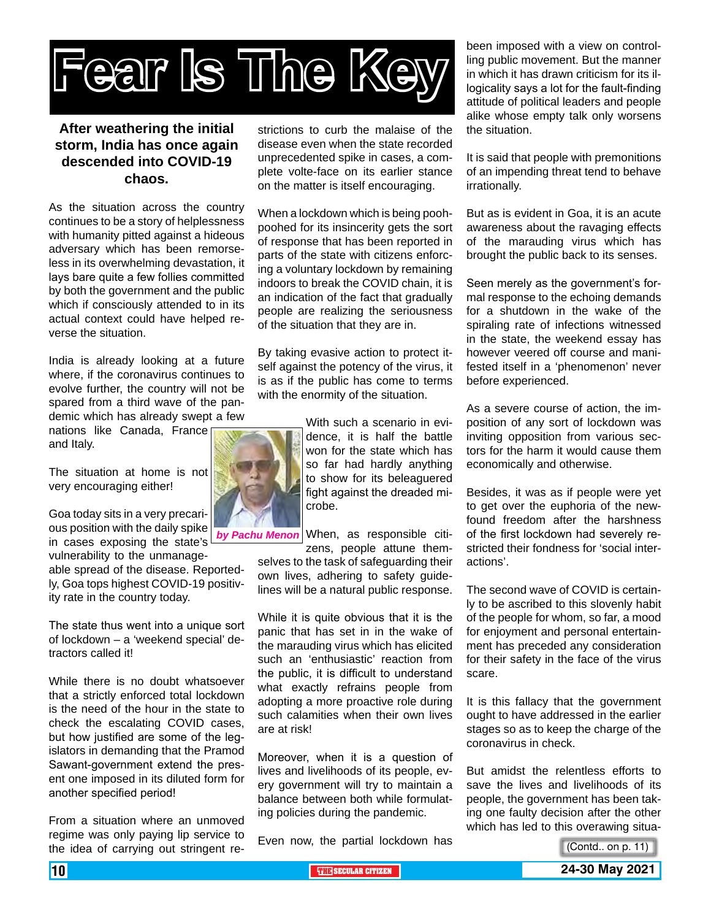

### **After weathering the initial storm, India has once again descended into COVID-19 chaos.**

As the situation across the country continues to be a story of helplessness with humanity pitted against a hideous adversary which has been remorseless in its overwhelming devastation, it lays bare quite a few follies committed by both the government and the public which if consciously attended to in its actual context could have helped reverse the situation.

India is already looking at a future where, if the coronavirus continues to evolve further, the country will not be spared from a third wave of the pandemic which has already swept a few

nations like Canada, France and Italy.

The situation at home is not very encouraging either!

Goa today sits in a very precarious position with the daily spike in cases exposing the state's vulnerability to the unmanage-

able spread of the disease. Reportedly, Goa tops highest COVID-19 positivity rate in the country today.

The state thus went into a unique sort of lockdown – a 'weekend special' detractors called it!

While there is no doubt whatsoever that a strictly enforced total lockdown is the need of the hour in the state to check the escalating COVID cases, but how justified are some of the legislators in demanding that the Pramod Sawant-government extend the present one imposed in its diluted form for another specified period!

From a situation where an unmoved regime was only paying lip service to the idea of carrying out stringent restrictions to curb the malaise of the disease even when the state recorded unprecedented spike in cases, a complete volte-face on its earlier stance on the matter is itself encouraging.

When a lockdown which is being poohpoohed for its insincerity gets the sort of response that has been reported in parts of the state with citizens enforcing a voluntary lockdown by remaining indoors to break the COVID chain, it is an indication of the fact that gradually people are realizing the seriousness of the situation that they are in.

By taking evasive action to protect itself against the potency of the virus, it is as if the public has come to terms with the enormity of the situation.

> With such a scenario in evidence, it is half the battle won for the state which has so far had hardly anything to show for its beleaguered fight against the dreaded microbe.

by Pachu Menon | When, as responsible citizens, people attune them-

selves to the task of safeguarding their own lives, adhering to safety guidelines will be a natural public response.

While it is quite obvious that it is the panic that has set in in the wake of the marauding virus which has elicited such an 'enthusiastic' reaction from the public, it is difficult to understand what exactly refrains people from adopting a more proactive role during such calamities when their own lives are at risk!

Moreover, when it is a question of lives and livelihoods of its people, every government will try to maintain a balance between both while formulating policies during the pandemic.

Even now, the partial lockdown has

been imposed with a view on controlling public movement. But the manner in which it has drawn criticism for its illogicality says a lot for the fault-finding attitude of political leaders and people alike whose empty talk only worsens the situation.

It is said that people with premonitions of an impending threat tend to behave irrationally.

But as is evident in Goa, it is an acute awareness about the ravaging effects of the marauding virus which has brought the public back to its senses.

Seen merely as the government's formal response to the echoing demands for a shutdown in the wake of the spiraling rate of infections witnessed in the state, the weekend essay has however veered off course and manifested itself in a 'phenomenon' never before experienced.

As a severe course of action, the imposition of any sort of lockdown was inviting opposition from various sectors for the harm it would cause them economically and otherwise.

Besides, it was as if people were yet to get over the euphoria of the newfound freedom after the harshness of the first lockdown had severely restricted their fondness for 'social interactions'.

The second wave of COVID is certainly to be ascribed to this slovenly habit of the people for whom, so far, a mood for enjoyment and personal entertainment has preceded any consideration for their safety in the face of the virus scare.

It is this fallacy that the government ought to have addressed in the earlier stages so as to keep the charge of the coronavirus in check.

But amidst the relentless efforts to save the lives and livelihoods of its people, the government has been taking one faulty decision after the other which has led to this overawing situa-

(Contd.. on p. 11)

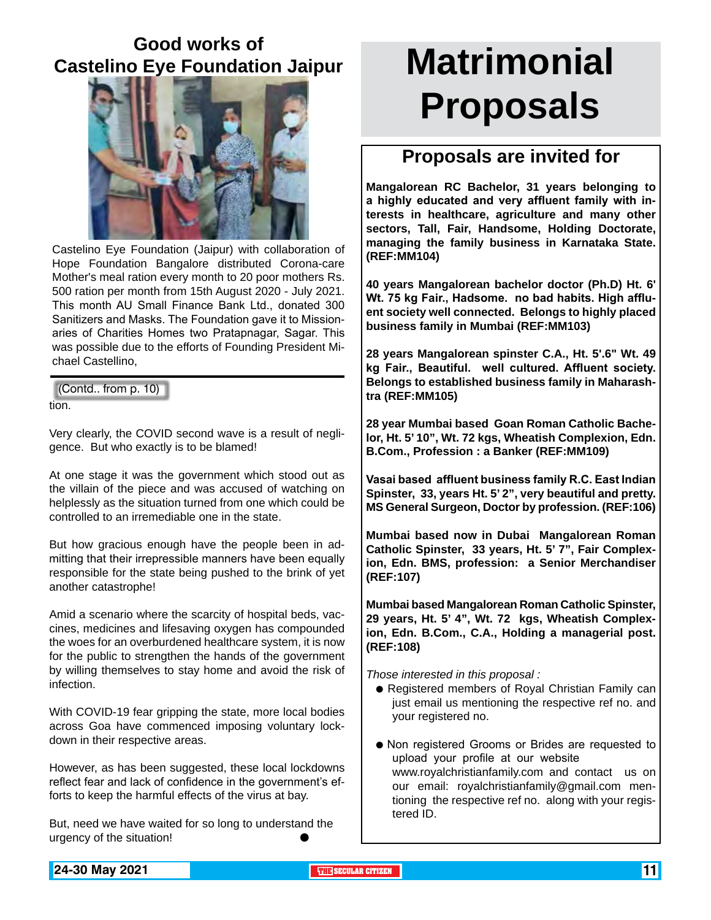### **Good works of Castelino Eye Foundation Jaipur**



Castelino Eye Foundation (Jaipur) with collaboration of Hope Foundation Bangalore distributed Corona-care Mother's meal ration every month to 20 poor mothers Rs. 500 ration per month from 15th August 2020 - July 2021. This month AU Small Finance Bank Ltd., donated 300 Sanitizers and Masks. The Foundation gave it to Missionaries of Charities Homes two Pratapnagar, Sagar. This was possible due to the efforts of Founding President Michael Castellino,

tion. (Contd.. from p. 10)

Very clearly, the COVID second wave is a result of negligence. But who exactly is to be blamed!

At one stage it was the government which stood out as the villain of the piece and was accused of watching on helplessly as the situation turned from one which could be controlled to an irremediable one in the state.

But how gracious enough have the people been in admitting that their irrepressible manners have been equally responsible for the state being pushed to the brink of yet another catastrophe!

Amid a scenario where the scarcity of hospital beds, vaccines, medicines and lifesaving oxygen has compounded the woes for an overburdened healthcare system, it is now for the public to strengthen the hands of the government by willing themselves to stay home and avoid the risk of infection.

With COVID-19 fear gripping the state, more local bodies across Goa have commenced imposing voluntary lockdown in their respective areas.

However, as has been suggested, these local lockdowns reflect fear and lack of confidence in the government's efforts to keep the harmful effects of the virus at bay.

But, need we have waited for so long to understand the urgency of the situation!

# **Matrimonial Proposals**

### **Proposals are invited for**

**Mangalorean RC Bachelor, 31 years belonging to a highly educated and very affluent family with interests in healthcare, agriculture and many other sectors, Tall, Fair, Handsome, Holding Doctorate, managing the family business in Karnataka State. (REF:MM104)**

**40 years Mangalorean bachelor doctor (Ph.D) Ht. 6' Wt. 75 kg Fair., Hadsome. no bad habits. High affluent society well connected. Belongs to highly placed business family in Mumbai (REF:MM103)**

**28 years Mangalorean spinster C.A., Ht. 5'.6" Wt. 49 kg Fair., Beautiful. well cultured. Affluent society. Belongs to established business family in Maharashtra (REF:MM105)**

**28 year Mumbai based Goan Roman Catholic Bachelor, Ht. 5' 10", Wt. 72 kgs, Wheatish Complexion, Edn. B.Com., Profession : a Banker (REF:MM109)**

**Vasai based affluent business family R.C. East Indian Spinster, 33, years Ht. 5' 2", very beautiful and pretty. MS General Surgeon, Doctor by profession. (REF:106)**

**Mumbai based now in Dubai Mangalorean Roman Catholic Spinster, 33 years, Ht. 5' 7", Fair Complexion, Edn. BMS, profession: a Senior Merchandiser (REF:107)**

**Mumbai based Mangalorean Roman Catholic Spinster, 29 years, Ht. 5' 4", Wt. 72 kgs, Wheatish Complexion, Edn. B.Com., C.A., Holding a managerial post. (REF:108)** 

*Those interested in this proposal :*

- **Registered members of Royal Christian Family can** just email us mentioning the respective ref no. and your registered no.
- Non registered Grooms or Brides are requested to upload your profile at our website www.royalchristianfamily.com and contact us on our email: royalchristianfamily@gmail.com mentioning the respective ref no. along with your registered ID.

**24-30 May 2021 THE THE THE THE SECULAR CITIZEN 11 THE SECULAR CITIZEN 11 THE THE THE 11**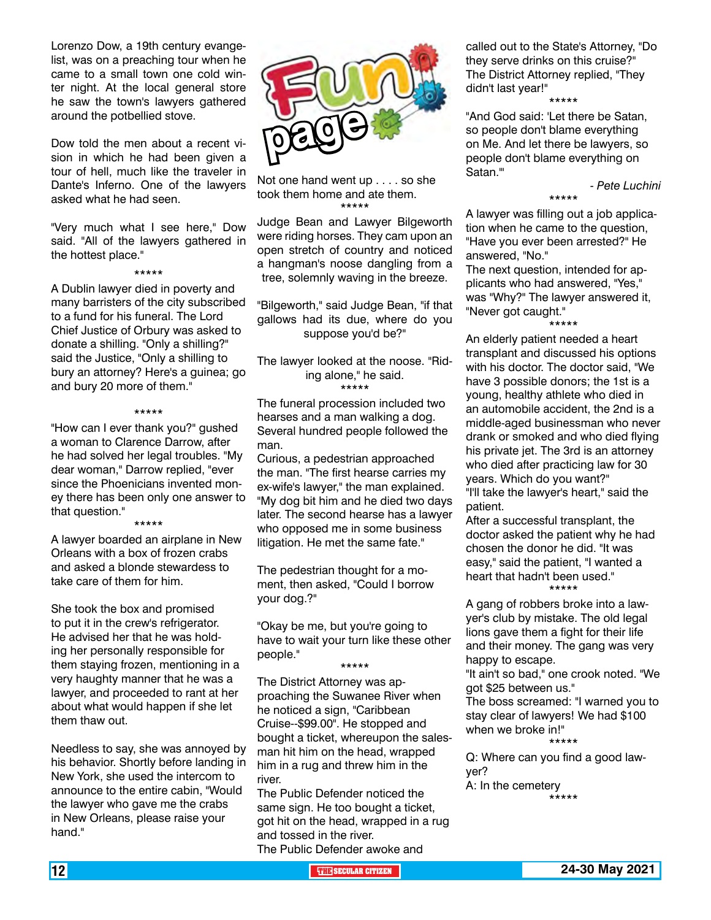Lorenzo Dow, a 19th century evangelist, was on a preaching tour when he came to a small town one cold winter night. At the local general store he saw the town's lawyers gathered around the potbellied stove.

Dow told the men about a recent vision in which he had been given a tour of hell, much like the traveler in Dante's Inferno. One of the lawyers asked what he had seen.

"Very much what I see here," Dow said. "All of the lawyers gathered in the hottest place."

\*\*\*\*\*

A Dublin lawyer died in poverty and many barristers of the city subscribed to a fund for his funeral. The Lord Chief Justice of Orbury was asked to donate a shilling. "Only a shilling?" said the Justice, "Only a shilling to bury an attorney? Here's a guinea; go and bury 20 more of them."

#### \*\*\*\*\*

"How can I ever thank you?" gushed a woman to Clarence Darrow, after he had solved her legal troubles. "My dear woman," Darrow replied, "ever since the Phoenicians invented money there has been only one answer to that question."

\*\*\*\*\*

A lawyer boarded an airplane in New Orleans with a box of frozen crabs and asked a blonde stewardess to take care of them for him.

She took the box and promised to put it in the crew's refrigerator. He advised her that he was holding her personally responsible for them staying frozen, mentioning in a very haughty manner that he was a lawyer, and proceeded to rant at her about what would happen if she let them thaw out.

Needless to say, she was annoyed by his behavior. Shortly before landing in New York, she used the intercom to announce to the entire cabin, "Would the lawyer who gave me the crabs in New Orleans, please raise your hand."



Not one hand went up . . . . so she took them home and ate them. \*\*\*\*\*

Judge Bean and Lawyer Bilgeworth were riding horses. They cam upon an open stretch of country and noticed a hangman's noose dangling from a tree, solemnly waving in the breeze.

"Bilgeworth," said Judge Bean, "if that gallows had its due, where do you suppose you'd be?"

The lawyer looked at the noose. "Riding alone," he said. \*\*\*\*\*

The funeral procession included two hearses and a man walking a dog. Several hundred people followed the man.

Curious, a pedestrian approached the man. "The first hearse carries my ex-wife's lawyer," the man explained. "My dog bit him and he died two days later. The second hearse has a lawyer who opposed me in some business litigation. He met the same fate."

The pedestrian thought for a moment, then asked, "Could I borrow your dog.?"

"Okay be me, but you're going to have to wait your turn like these other people."

\*\*\*\*\* The District Attorney was approaching the Suwanee River when he noticed a sign, "Caribbean Cruise--\$99.00". He stopped and bought a ticket, whereupon the salesman hit him on the head, wrapped him in a rug and threw him in the river.

The Public Defender noticed the same sign. He too bought a ticket, got hit on the head, wrapped in a rug and tossed in the river. The Public Defender awoke and

called out to the State's Attorney, "Do they serve drinks on this cruise?" The District Attorney replied, "They didn't last year!" \*\*\*\*\*

"And God said: 'Let there be Satan, so people don't blame everything on Me. And let there be lawyers, so people don't blame everything on Satan.'"

*- Pete Luchini*

A lawyer was filling out a job application when he came to the question, "Have you ever been arrested?" He answered, "No."

\*\*\*\*\*

The next question, intended for applicants who had answered, "Yes," was "Why?" The lawyer answered it, "Never got caught." \*\*\*\*\*

An elderly patient needed a heart transplant and discussed his options with his doctor. The doctor said, "We have 3 possible donors; the 1st is a young, healthy athlete who died in an automobile accident, the 2nd is a middle-aged businessman who never drank or smoked and who died flying his private jet. The 3rd is an attorney who died after practicing law for 30 years. Which do you want?" "I'll take the lawyer's heart," said the

patient.

After a successful transplant, the doctor asked the patient why he had chosen the donor he did. "It was easy," said the patient, "I wanted a heart that hadn't been used." \*\*\*\*\*

A gang of robbers broke into a lawyer's club by mistake. The old legal lions gave them a fight for their life and their money. The gang was very happy to escape.

"It ain't so bad," one crook noted. "We got \$25 between us."

The boss screamed: "I warned you to stay clear of lawyers! We had \$100 when we broke in!" \*\*\*\*\*

Q: Where can you find a good lawyer? A: In the cemetery

\*\*\*\*\*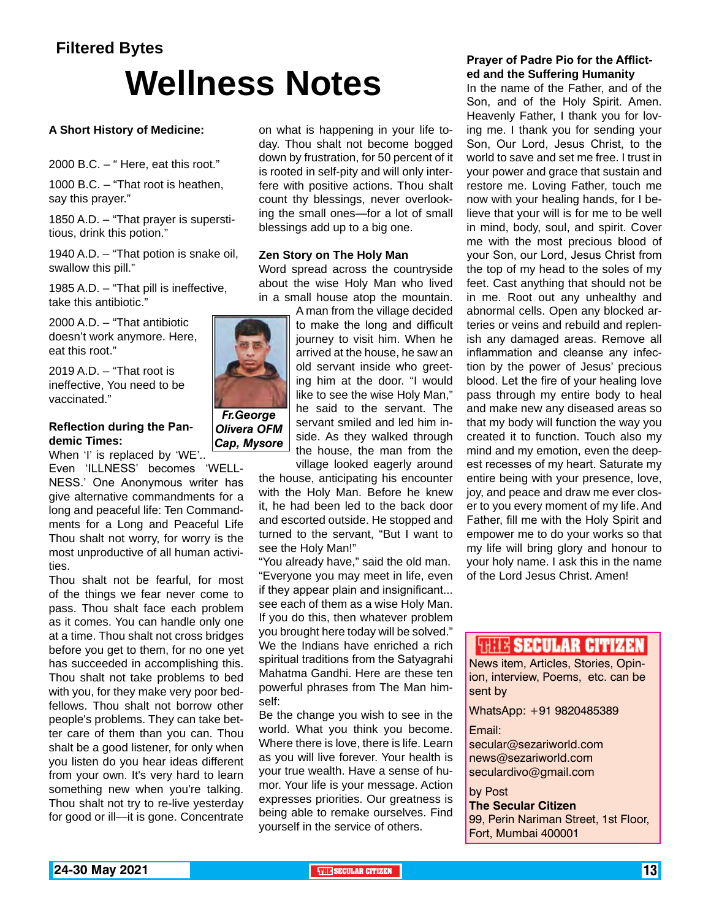## **Filtered Bytes Wellness Notes**

### **A Short History of Medicine:**

2000 B.C. – " Here, eat this root."

1000 B.C. – "That root is heathen, say this prayer."

1850 A.D. – "That prayer is superstitious, drink this potion."

1940 A.D. – "That potion is snake oil, swallow this pill."

1985 A.D. – "That pill is ineffective, take this antibiotic."

2000 A.D. – "That antibiotic doesn't work anymore. Here, eat this root."

2019 A.D. – "That root is ineffective, You need to be vaccinated."

#### **Reflection during the Pandemic Times:**

When 'I' is replaced by 'WE'..

Even 'ILLNESS' becomes 'WELL-NESS.' One Anonymous writer has give alternative commandments for a long and peaceful life: Ten Commandments for a Long and Peaceful Life Thou shalt not worry, for worry is the most unproductive of all human activities.

Thou shalt not be fearful, for most of the things we fear never come to pass. Thou shalt face each problem as it comes. You can handle only one at a time. Thou shalt not cross bridges before you get to them, for no one yet has succeeded in accomplishing this. Thou shalt not take problems to bed with you, for they make very poor bedfellows. Thou shalt not borrow other people's problems. They can take better care of them than you can. Thou shalt be a good listener, for only when you listen do you hear ideas different from your own. It's very hard to learn something new when you're talking. Thou shalt not try to re-live yesterday for good or ill—it is gone. Concentrate

on what is happening in your life today. Thou shalt not become bogged down by frustration, for 50 percent of it is rooted in self-pity and will only interfere with positive actions. Thou shalt count thy blessings, never overlooking the small ones—for a lot of small blessings add up to a big one.

#### **Zen Story on The Holy Man**

Word spread across the countryside about the wise Holy Man who lived in a small house atop the mountain.

A man from the village decided to make the long and difficult journey to visit him. When he arrived at the house, he saw an old servant inside who greeting him at the door. "I would like to see the wise Holy Man," he said to the servant. The servant smiled and led him inside. As they walked through the house, the man from the village looked eagerly around

the house, anticipating his encounter with the Holy Man. Before he knew it, he had been led to the back door and escorted outside. He stopped and turned to the servant, "But I want to see the Holy Man!"

"You already have," said the old man. "Everyone you may meet in life, even if they appear plain and insignificant... see each of them as a wise Holy Man. If you do this, then whatever problem you brought here today will be solved." We the Indians have enriched a rich spiritual traditions from the Satyagrahi Mahatma Gandhi. Here are these ten powerful phrases from The Man himself:

Be the change you wish to see in the world. What you think you become. Where there is love, there is life. Learn as you will live forever. Your health is your true wealth. Have a sense of humor. Your life is your message. Action expresses priorities. Our greatness is being able to remake ourselves. Find yourself in the service of others.

### **Prayer of Padre Pio for the Afflicted and the Suffering Humanity**

In the name of the Father, and of the Son, and of the Holy Spirit. Amen. Heavenly Father, I thank you for loving me. I thank you for sending your Son, Our Lord, Jesus Christ, to the world to save and set me free. I trust in your power and grace that sustain and restore me. Loving Father, touch me now with your healing hands, for I believe that your will is for me to be well in mind, body, soul, and spirit. Cover me with the most precious blood of your Son, our Lord, Jesus Christ from the top of my head to the soles of my feet. Cast anything that should not be in me. Root out any unhealthy and abnormal cells. Open any blocked arteries or veins and rebuild and replenish any damaged areas. Remove all inflammation and cleanse any infection by the power of Jesus' precious blood. Let the fire of your healing love pass through my entire body to heal and make new any diseased areas so that my body will function the way you created it to function. Touch also my mind and my emotion, even the deepest recesses of my heart. Saturate my entire being with your presence, love, joy, and peace and draw me ever closer to you every moment of my life. And Father, fill me with the Holy Spirit and empower me to do your works so that my life will bring glory and honour to your holy name. I ask this in the name of the Lord Jesus Christ. Amen!

### **WHIR SECULAR CITIZEN**

News item, Articles, Stories, Opinion, interview, Poems, etc. can be sent by

WhatsApp: +91 9820485389

Email:

secular@sezariworld.com news@sezariworld.com seculardivo@gmail.com

by Post **The Secular Citizen**

99, Perin Nariman Street, 1st Floor, Fort, Mumbai 400001

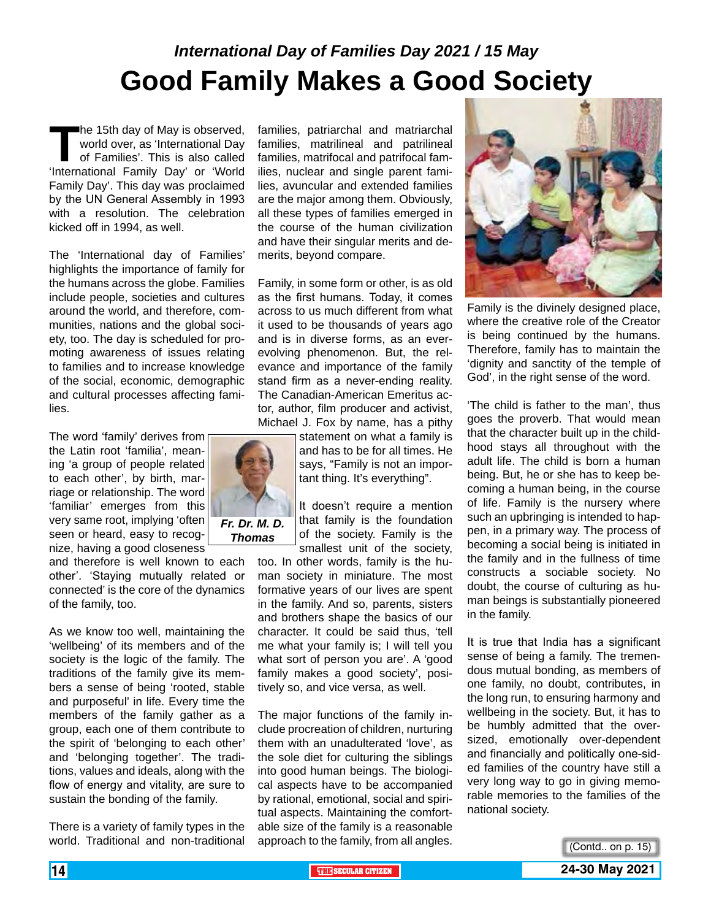### *International Day of Families Day 2021 / 15 May* **Good Family Makes a Good Society**

The 15th day of May is observed,<br>
world over, as 'International Day<br>
of Families'. This is also called<br>
'International Family Day' or 'World world over, as 'International Day of Families'. This is also called Family Day'. This day was proclaimed by the UN General Assembly in 1993 with a resolution. The celebration kicked off in 1994, as well.

The 'International day of Families' highlights the importance of family for the humans across the globe. Families include people, societies and cultures around the world, and therefore, communities, nations and the global society, too. The day is scheduled for promoting awareness of issues relating to families and to increase knowledge of the social, economic, demographic and cultural processes affecting families.

The word 'family' derives from the Latin root 'familia', meaning 'a group of people related to each other', by birth, marriage or relationship. The word 'familiar' emerges from this very same root, implying 'often seen or heard, easy to recognize, having a good closeness

and therefore is well known to each other'. 'Staying mutually related or connected' is the core of the dynamics of the family, too.

As we know too well, maintaining the 'wellbeing' of its members and of the society is the logic of the family. The traditions of the family give its members a sense of being 'rooted, stable and purposeful' in life. Every time the members of the family gather as a group, each one of them contribute to the spirit of 'belonging to each other' and 'belonging together'. The traditions, values and ideals, along with the flow of energy and vitality, are sure to sustain the bonding of the family.

There is a variety of family types in the world. Traditional and non-traditional

families, patriarchal and matriarchal families, matrilineal and patrilineal families, matrifocal and patrifocal families, nuclear and single parent families, avuncular and extended families are the major among them. Obviously, all these types of families emerged in the course of the human civilization and have their singular merits and demerits, beyond compare.

Family, in some form or other, is as old as the first humans. Today, it comes across to us much different from what it used to be thousands of years ago and is in diverse forms, as an everevolving phenomenon. But, the relevance and importance of the family stand firm as a never-ending reality. The Canadian-American Emeritus actor, author, film producer and activist, Michael J. Fox by name, has a pithy

> statement on what a family is and has to be for all times. He says, "Family is not an important thing. It's everything".

It doesn't require a mention that family is the foundation of the society. Family is the smallest unit of the society,

too. In other words, family is the human society in miniature. The most formative years of our lives are spent in the family. And so, parents, sisters and brothers shape the basics of our character. It could be said thus, 'tell me what your family is; I will tell you what sort of person you are'. A 'good family makes a good society', positively so, and vice versa, as well.

The major functions of the family include procreation of children, nurturing them with an unadulterated 'love', as the sole diet for culturing the siblings into good human beings. The biological aspects have to be accompanied by rational, emotional, social and spiritual aspects. Maintaining the comfortable size of the family is a reasonable approach to the family, from all angles.<br>(Contd.. on p. 15)



Family is the divinely designed place, where the creative role of the Creator is being continued by the humans. Therefore, family has to maintain the 'dignity and sanctity of the temple of God', in the right sense of the word.

'The child is father to the man', thus goes the proverb. That would mean that the character built up in the childhood stays all throughout with the adult life. The child is born a human being. But, he or she has to keep becoming a human being, in the course of life. Family is the nursery where such an upbringing is intended to happen, in a primary way. The process of becoming a social being is initiated in the family and in the fullness of time constructs a sociable society. No doubt, the course of culturing as human beings is substantially pioneered in the family.

It is true that India has a significant sense of being a family. The tremendous mutual bonding, as members of one family, no doubt, contributes, in the long run, to ensuring harmony and wellbeing in the society. But, it has to be humbly admitted that the oversized, emotionally over-dependent and financially and politically one-sided families of the country have still a very long way to go in giving memorable memories to the families of the national society.

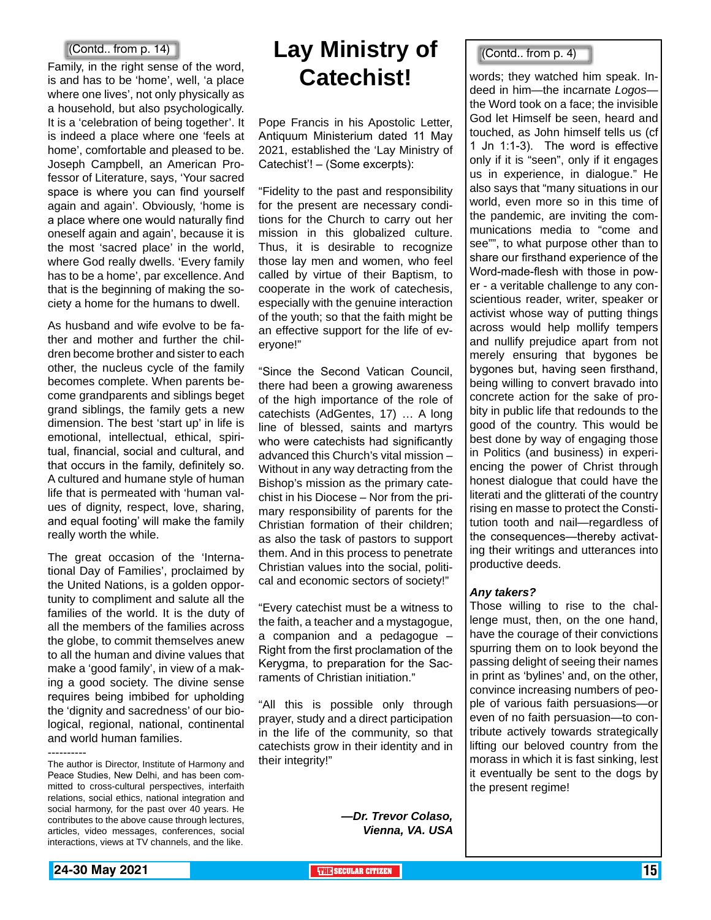#### (Contd.. from p. 14)

Family, in the right sense of the word, is and has to be 'home', well, 'a place where one lives', not only physically as a household, but also psychologically. It is a 'celebration of being together'. It is indeed a place where one 'feels at home', comfortable and pleased to be. Joseph Campbell, an American Professor of Literature, says, 'Your sacred space is where you can find yourself again and again'. Obviously, 'home is a place where one would naturally find oneself again and again', because it is the most 'sacred place' in the world, where God really dwells. 'Every family has to be a home', par excellence. And that is the beginning of making the society a home for the humans to dwell.

As husband and wife evolve to be father and mother and further the children become brother and sister to each other, the nucleus cycle of the family becomes complete. When parents become grandparents and siblings beget grand siblings, the family gets a new dimension. The best 'start up' in life is emotional, intellectual, ethical, spiritual, financial, social and cultural, and that occurs in the family, definitely so. A cultured and humane style of human life that is permeated with 'human values of dignity, respect, love, sharing, and equal footing' will make the family really worth the while.

The great occasion of the 'International Day of Families', proclaimed by the United Nations, is a golden opportunity to compliment and salute all the families of the world. It is the duty of all the members of the families across the globe, to commit themselves anew to all the human and divine values that make a 'good family', in view of a making a good society. The divine sense requires being imbibed for upholding the 'dignity and sacredness' of our biological, regional, national, continental and world human families.

### **Lay Ministry of**  Contd.. from p. 4) **Catechist!**

Pope Francis in his Apostolic Letter, Antiquum Ministerium dated 11 May 2021, established the 'Lay Ministry of Catechist'! – (Some excerpts):

"Fidelity to the past and responsibility for the present are necessary conditions for the Church to carry out her mission in this globalized culture. Thus, it is desirable to recognize those lay men and women, who feel called by virtue of their Baptism, to cooperate in the work of catechesis, especially with the genuine interaction of the youth; so that the faith might be an effective support for the life of everyone!"

"Since the Second Vatican Council, there had been a growing awareness of the high importance of the role of catechists (AdGentes, 17) … A long line of blessed, saints and martyrs who were catechists had significantly advanced this Church's vital mission – Without in any way detracting from the Bishop's mission as the primary catechist in his Diocese – Nor from the primary responsibility of parents for the Christian formation of their children; as also the task of pastors to support them. And in this process to penetrate Christian values into the social, political and economic sectors of society!"

"Every catechist must be a witness to the faith, a teacher and a mystagogue, a companion and a pedagogue – Right from the first proclamation of the Kerygma, to preparation for the Sacraments of Christian initiation."

"All this is possible only through prayer, study and a direct participation in the life of the community, so that catechists grow in their identity and in their integrity!"

> *—Dr. Trevor Colaso, Vienna, VA. USA*

words; they watched him speak. Indeed in him—the incarnate *Logos* the Word took on a face; the invisible God let Himself be seen, heard and touched, as John himself tells us (cf 1 Jn 1:1-3). The word is effective only if it is "seen", only if it engages us in experience, in dialogue." He also says that "many situations in our world, even more so in this time of the pandemic, are inviting the communications media to "come and see"", to what purpose other than to share our firsthand experience of the Word-made-flesh with those in power - a veritable challenge to any conscientious reader, writer, speaker or activist whose way of putting things across would help mollify tempers and nullify prejudice apart from not merely ensuring that bygones be bygones but, having seen firsthand, being willing to convert bravado into concrete action for the sake of probity in public life that redounds to the good of the country. This would be best done by way of engaging those in Politics (and business) in experiencing the power of Christ through honest dialogue that could have the literati and the glitterati of the country rising en masse to protect the Constitution tooth and nail—regardless of the consequences—thereby activating their writings and utterances into productive deeds.

#### *Any takers?*

Those willing to rise to the challenge must, then, on the one hand, have the courage of their convictions spurring them on to look beyond the passing delight of seeing their names in print as 'bylines' and, on the other, convince increasing numbers of people of various faith persuasions—or even of no faith persuasion—to contribute actively towards strategically lifting our beloved country from the morass in which it is fast sinking, lest it eventually be sent to the dogs by the present regime!

<sup>----------</sup> The author is Director, Institute of Harmony and Peace Studies, New Delhi, and has been committed to cross-cultural perspectives, interfaith relations, social ethics, national integration and social harmony, for the past over 40 years. He contributes to the above cause through lectures, articles, video messages, conferences, social interactions, views at TV channels, and the like.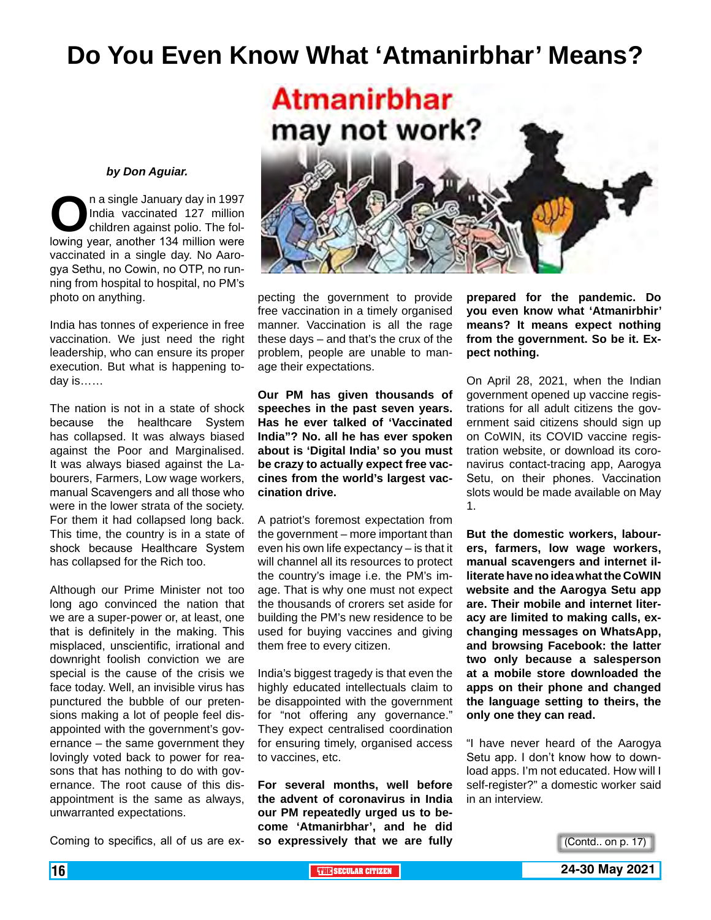## **Do You Even Know What 'Atmanirbhar' Means?**

#### *by Don Aguiar.*

n a single January day in 1997<br>
India vaccinated 127 million<br>
Iowing year, another 134 million were India vaccinated 127 million children against polio. The folvaccinated in a single day. No Aarogya Sethu, no Cowin, no OTP, no running from hospital to hospital, no PM's photo on anything.

India has tonnes of experience in free vaccination. We just need the right leadership, who can ensure its proper execution. But what is happening today is……

The nation is not in a state of shock because the healthcare System has collapsed. It was always biased against the Poor and Marginalised. It was always biased against the Labourers, Farmers, Low wage workers, manual Scavengers and all those who were in the lower strata of the society. For them it had collapsed long back. This time, the country is in a state of shock because Healthcare System has collapsed for the Rich too.

Although our Prime Minister not too long ago convinced the nation that we are a super-power or, at least, one that is definitely in the making. This misplaced, unscientific, irrational and downright foolish conviction we are special is the cause of the crisis we face today. Well, an invisible virus has punctured the bubble of our pretensions making a lot of people feel disappointed with the government's governance – the same government they lovingly voted back to power for reasons that has nothing to do with governance. The root cause of this disappointment is the same as always, unwarranted expectations.

Coming to specifics, all of us are ex-



pecting the government to provide free vaccination in a timely organised manner. Vaccination is all the rage these days – and that's the crux of the problem, people are unable to manage their expectations.

**Our PM has given thousands of speeches in the past seven years. Has he ever talked of 'Vaccinated India"? No. all he has ever spoken about is 'Digital India' so you must be crazy to actually expect free vaccines from the world's largest vaccination drive.**

A patriot's foremost expectation from the government – more important than even his own life expectancy – is that it will channel all its resources to protect the country's image i.e. the PM's image. That is why one must not expect the thousands of crorers set aside for building the PM's new residence to be used for buying vaccines and giving them free to every citizen.

India's biggest tragedy is that even the highly educated intellectuals claim to be disappointed with the government for "not offering any governance." They expect centralised coordination for ensuring timely, organised access to vaccines, etc.

**For several months, well before the advent of coronavirus in India our PM repeatedly urged us to become 'Atmanirbhar', and he did so expressively that we are fully** 

**prepared for the pandemic. Do you even know what 'Atmanirbhir' means? It means expect nothing from the government. So be it. Expect nothing.**

On April 28, 2021, when the Indian government opened up vaccine registrations for all adult citizens the government said citizens should sign up on CoWIN, its COVID vaccine registration website, or download its coronavirus contact-tracing app, Aarogya Setu, on their phones. Vaccination slots would be made available on May 1.

**But the domestic workers, labourers, farmers, low wage workers, manual scavengers and internet illiterate have no idea what the CoWIN website and the Aarogya Setu app are. Their mobile and internet literacy are limited to making calls, exchanging messages on WhatsApp, and browsing Facebook: the latter two only because a salesperson at a mobile store downloaded the apps on their phone and changed the language setting to theirs, the only one they can read.**

"I have never heard of the Aarogya Setu app. I don't know how to download apps. I'm not educated. How will I self-register?" a domestic worker said in an interview.

(Contd.. on p. 17)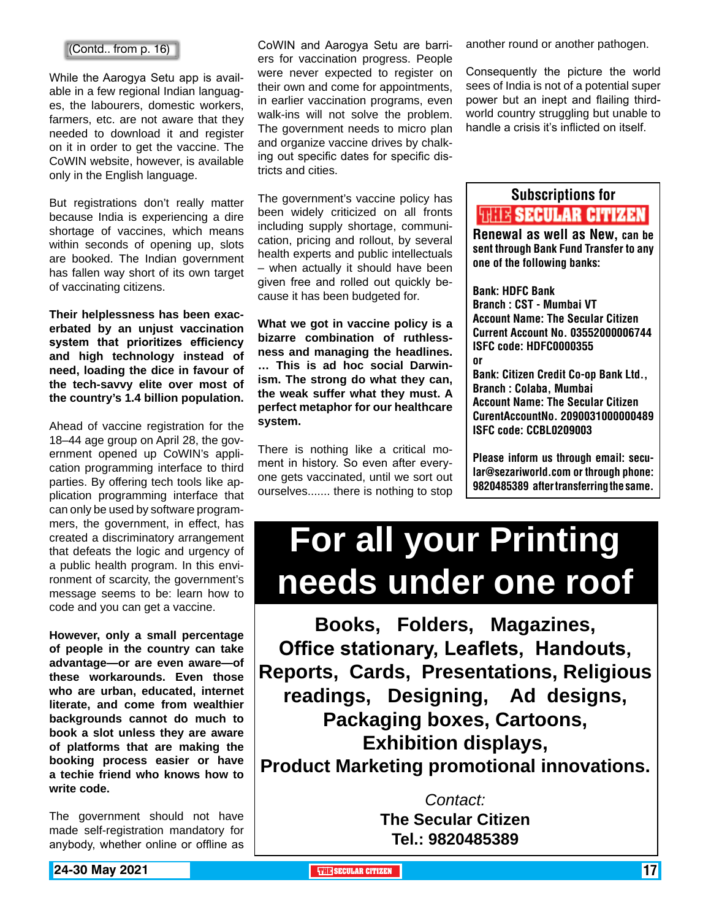While the Aarogya Setu app is available in a few regional Indian languages, the labourers, domestic workers, farmers, etc. are not aware that they needed to download it and register on it in order to get the vaccine. The CoWIN website, however, is available only in the English language.

But registrations don't really matter because India is experiencing a dire shortage of vaccines, which means within seconds of opening up, slots are booked. The Indian government has fallen way short of its own target of vaccinating citizens.

**Their helplessness has been exacerbated by an unjust vaccination system that prioritizes efficiency and high technology instead of need, loading the dice in favour of the tech-savvy elite over most of the country's 1.4 billion population.**

Ahead of vaccine registration for the 18–44 age group on April 28, the government opened up CoWIN's application programming interface to third parties. By offering tech tools like application programming interface that can only be used by software programmers, the government, in effect, has created a discriminatory arrangement that defeats the logic and urgency of a public health program. In this environment of scarcity, the government's message seems to be: learn how to code and you can get a vaccine.

**However, only a small percentage of people in the country can take advantage—or are even aware—of these workarounds. Even those who are urban, educated, internet literate, and come from wealthier backgrounds cannot do much to book a slot unless they are aware of platforms that are making the booking process easier or have a techie friend who knows how to write code.**

The government should not have made self-registration mandatory for anybody, whether online or offline as

(Contd.. from p. 16) CoWIN and Aarogya Setu are barri- another round or another pathogen. ers for vaccination progress. People were never expected to register on their own and come for appointments, in earlier vaccination programs, even walk-ins will not solve the problem. The government needs to micro plan and organize vaccine drives by chalking out specific dates for specific districts and cities.

> The government's vaccine policy has been widely criticized on all fronts including supply shortage, communication, pricing and rollout, by several health experts and public intellectuals – when actually it should have been given free and rolled out quickly because it has been budgeted for.

> **What we got in vaccine policy is a bizarre combination of ruthlessness and managing the headlines. … This is ad hoc social Darwinism. The strong do what they can, the weak suffer what they must. A perfect metaphor for our healthcare system.**

> There is nothing like a critical moment in history. So even after everyone gets vaccinated, until we sort out ourselves....... there is nothing to stop

Consequently the picture the world sees of India is not of a potential super power but an inept and flailing thirdworld country struggling but unable to handle a crisis it's inflicted on itself.

### Subscriptions for **THIF SECULAR CITIZEN**<br>Renewal as well as New, can be

sent through Bank Fund Transfer to any one of the following banks:

Bank: HDFC Bank Branch : CST - Mumbai VT Account Name: The Secular Citizen Current Account No. 03552000006744 ISFC code: HDFC0000355 or

Bank: Citizen Credit Co-op Bank Ltd., Branch : Colaba, Mumbai Account Name: The Secular Citizen CurentAccountNo. 2090031000000489 ISFC code: CCBL0209003

Please inform us through email: secular@sezariworld.com or through phone: 9820485389 after transferring the same.

## **For all your Printing needs under one roof**

**Books, Folders, Magazines, Office stationary, Leaflets, Handouts, Reports, Cards, Presentations, Religious readings, Designing, Ad designs, Packaging boxes, Cartoons, Exhibition displays, Product Marketing promotional innovations.**

> *Contact:* **The Secular Citizen Tel.: 9820485389**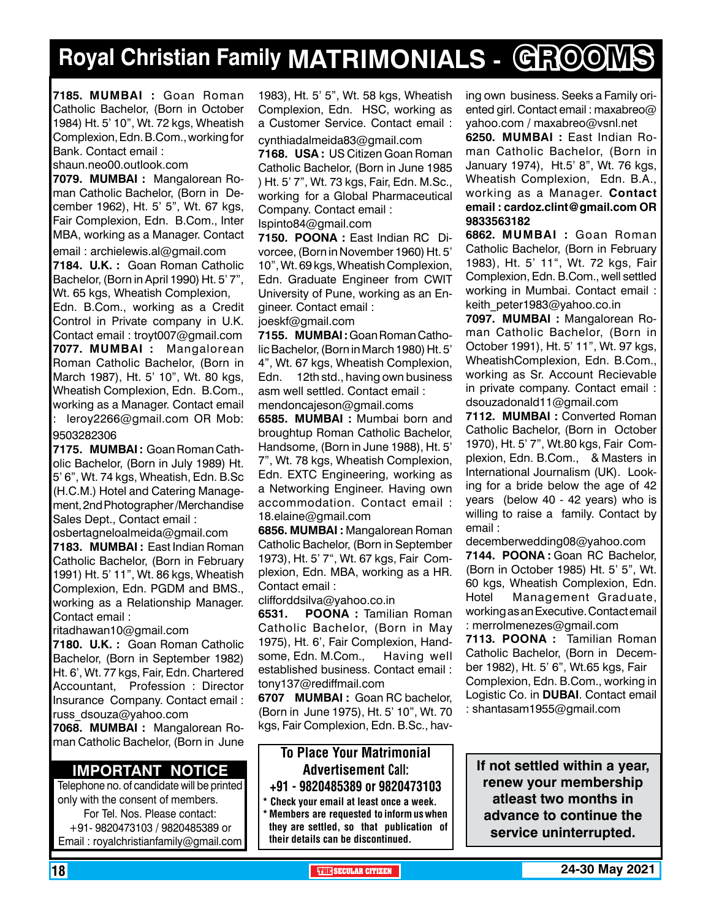## **Royal Christian Family MATRIMONIALS - GROOMS**

**7185. MUMBAI :** Goan Roman Catholic Bachelor, (Born in October 1984) Ht. 5' 10", Wt. 72 kgs, Wheatish Complexion, Edn. B.Com., working for Bank. Contact email :

shaun.neo00.outlook.com

**7079. MUMBAI :** Mangalorean Roman Catholic Bachelor, (Born in December 1962), Ht. 5' 5", Wt. 67 kgs, Fair Complexion, Edn. B.Com., Inter MBA, working as a Manager. Contact

email : archielewis.al@gmail.com **7184. U.K. :** Goan Roman Catholic Bachelor, (Born in April 1990) Ht. 5' 7",

Wt. 65 kgs, Wheatish Complexion, Edn. B.Com., working as a Credit Control in Private company in U.K. Contact email : troyt007@gmail.com **7077. MUMBAI :** Mangalorean Roman Catholic Bachelor, (Born in March 1987), Ht. 5' 10", Wt. 80 kgs, Wheatish Complexion, Edn. B.Com., working as a Manager. Contact email leroy2266@gmail.com OR Mob:

#### 9503282306

**7175. MUMBAI :** Goan Roman Catholic Bachelor, (Born in July 1989) Ht. 5' 6", Wt. 74 kgs, Wheatish, Edn. B.Sc (H.C.M.) Hotel and Catering Management, 2nd Photographer /Merchandise Sales Dept., Contact email :

osbertagneloalmeida@gmail.com **7183. MUMBAI :** East Indian Roman Catholic Bachelor, (Born in February 1991) Ht. 5' 11", Wt. 86 kgs, Wheatish Complexion, Edn. PGDM and BMS., working as a Relationship Manager. Contact email :

ritadhawan10@gmail.com

**7180. U.K. :** Goan Roman Catholic Bachelor, (Born in September 1982) Ht. 6', Wt. 77 kgs, Fair, Edn. Chartered Accountant, Profession : Director Insurance Company. Contact email : russ\_dsouza@yahoo.com

**7068. MUMBAI :** Mangalorean Roman Catholic Bachelor, (Born in June

### **Important Notice**

Telephone no. of candidate will be printed only with the consent of members. For Tel. Nos. Please contact: +91- 9820473103 / 9820485389 or Email : royalchristianfamily@gmail.com 1983), Ht. 5' 5", Wt. 58 kgs, Wheatish Complexion, Edn. HSC, working as a Customer Service. Contact email :

cynthiadalmeida83@gmail.com

**7168. USA :** US Citizen Goan Roman Catholic Bachelor, (Born in June 1985 ) Ht. 5' 7", Wt. 73 kgs, Fair, Edn. M.Sc., working for a Global Pharmaceutical Company. Contact email : Ispinto84@gmail.com

**7150. POONA :** East Indian RC Divorcee, (Born in November 1960) Ht. 5' 10", Wt. 69 kgs, Wheatish Complexion, Edn. Graduate Engineer from CWIT University of Pune, working as an Engineer. Contact email :

joeskf@gmail.com

**7155. MUMBAI :** Goan Roman Catholic Bachelor, (Born in March 1980) Ht. 5' 4", Wt. 67 kgs, Wheatish Complexion, Edn. 12th std., having own business asm well settled. Contact email : mendoncajeson@gmail.coms

**6585. MUMBAI :** Mumbai born and broughtup Roman Catholic Bachelor, Handsome, (Born in June 1988), Ht. 5' 7", Wt. 78 kgs, Wheatish Complexion, Edn. EXTC Engineering, working as a Networking Engineer. Having own accommodation. Contact email : 18.elaine@gmail.com

**6856. MuMBAI :** Mangalorean Roman Catholic Bachelor, (Born in September 1973), Ht. 5' 7", Wt. 67 kgs, Fair Complexion, Edn. MBA, working as a HR. Contact email :

clifforddsilva@yahoo.co.in

**6531. POONA :** Tamilian Roman Catholic Bachelor, (Born in May 1975), Ht. 6', Fair Complexion, Handsome, Edn. M.Com., Having well established business. Contact email : tony137@rediffmail.com

**6707 Mumbai :** Goan RC bachelor, (Born in June 1975), Ht. 5' 10", Wt. 70 kgs, Fair Complexion, Edn. B.Sc., hav-

### To Place Your Matrimonial Advertisement Call: +91 - 9820485389 or 9820473103

\* Check your email at least once a week.

\* Members are requested to inform us when they are settled, so that publication of their details can be discontinued.

ing own business. Seeks a Family oriented girl. Contact email : maxabreo@ yahoo.com / maxabreo@vsnl.net

**6250. MUMBAI :** East Indian Roman Catholic Bachelor, (Born in January 1974), Ht.5' 8", Wt. 76 kgs, Wheatish Complexion, Edn. B.A., working as a Manager. Contact email : cardoz.clint@gmail.com OR 9833563182

**6862. MUMBAI :** Goan Roman Catholic Bachelor, (Born in February 1983), Ht. 5' 11", Wt. 72 kgs, Fair Complexion, Edn. B.Com., well settled working in Mumbai. Contact email : keith\_peter1983@yahoo.co.in

**7097. MUMBAI :** Mangalorean Roman Catholic Bachelor, (Born in October 1991), Ht. 5' 11", Wt. 97 kgs, WheatishComplexion, Edn. B.Com., working as Sr. Account Recievable in private company. Contact email : dsouzadonald11@gmail.com

**7112. MUMBAI :** Converted Roman Catholic Bachelor, (Born in October 1970), Ht. 5' 7", Wt.80 kgs, Fair Complexion, Edn. B.Com., & Masters in International Journalism (UK). Looking for a bride below the age of 42 years (below 40 - 42 years) who is willing to raise a family. Contact by email :

decemberwedding08@yahoo.com **7144. POONA :** Goan RC Bachelor, (Born in October 1985) Ht. 5' 5", Wt. 60 kgs, Wheatish Complexion, Edn. Hotel Management Graduate, working as an Executive. Contact email : merrolmenezes@gmail.com

**7113. POONA :** Tamilian Roman Catholic Bachelor, (Born in December 1982), Ht. 5' 6", Wt.65 kgs, Fair Complexion, Edn. B.Com., working in Logistic Co. in **DUBAI**. Contact email : shantasam1955@gmail.com

**If not settled within a year, renew your membership atleast two months in advance to continue the service uninterrupted.**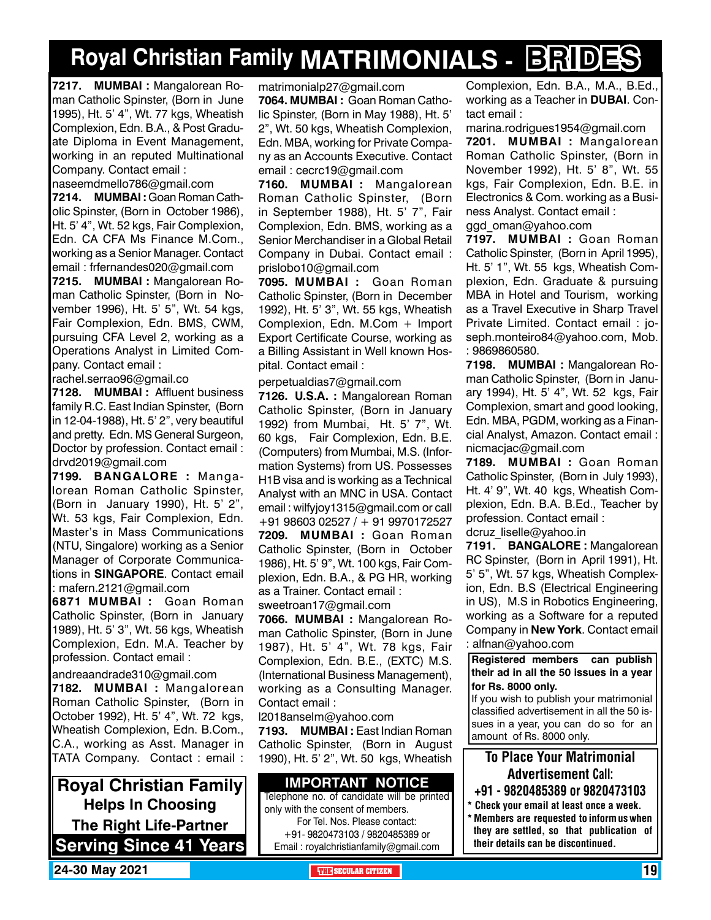## **Royal Christian Family MATRIMONIALS - BRIDES**

**7217. MUMBAI :** Mangalorean Roman Catholic Spinster, (Born in June 1995), Ht. 5' 4", Wt. 77 kgs, Wheatish Complexion, Edn. B.A., & Post Graduate Diploma in Event Management, working in an reputed Multinational Company. Contact email :

naseemdmello786@gmail.com

**7214. MUMBAI :** Goan Roman Catholic Spinster, (Born in October 1986), Ht. 5' 4", Wt. 52 kgs, Fair Complexion, Edn. CA CFA Ms Finance M.Com., working as a Senior Manager. Contact email : frfernandes020@gmail.com

**7215. MUMBAI :** Mangalorean Roman Catholic Spinster, (Born in November 1996), Ht. 5' 5", Wt. 54 kgs, Fair Complexion, Edn. BMS, CWM, pursuing CFA Level 2, working as a Operations Analyst in Limited Company. Contact email :

rachel.serrao96@gmail.co

**7128. MUMBAI :** Affluent business family R.C. East Indian Spinster, (Born in 12-04-1988), Ht. 5' 2", very beautiful and pretty. Edn. MS General Surgeon, Doctor by profession. Contact email : drvd2019@gmail.com

**7199. BANGALORE :** Mangalorean Roman Catholic Spinster, (Born in January 1990), Ht. 5' 2", Wt. 53 kgs, Fair Complexion, Edn. Master's in Mass Communications (NTU, Singalore) working as a Senior Manager of Corporate Communications in **SINGAPORE**. Contact email : mafern.2121@gmail.com

**6871 MUMBAI :** Goan Roman Catholic Spinster, (Born in January 1989), Ht. 5' 3", Wt. 56 kgs, Wheatish Complexion, Edn. M.A. Teacher by profession. Contact email :

andreaandrade310@gmail.com **7182. MUMBAI :** Mangalorean Roman Catholic Spinster, (Born in October 1992), Ht. 5' 4", Wt. 72 kgs, Wheatish Complexion, Edn. B.Com., C.A., working as Asst. Manager in TATA Company. Contact : email :

**Royal Christian Family Helps In Choosing The Right Life-Partner Serving Since 41 Years** matrimonialp27@gmail.com

**7064. MUMBAI :** Goan Roman Catholic Spinster, (Born in May 1988), Ht. 5' 2", Wt. 50 kgs, Wheatish Complexion, Edn. MBA, working for Private Company as an Accounts Executive. Contact email : cecrc19@gmail.com

**7160. MUMBAI :** Mangalorean Roman Catholic Spinster, (Born in September 1988), Ht. 5' 7", Fair Complexion, Edn. BMS, working as a Senior Merchandiser in a Global Retail Company in Dubai. Contact email : prislobo10@gmail.com

**7095. MUMBAI :** Goan Roman Catholic Spinster, (Born in December 1992), Ht. 5' 3", Wt. 55 kgs, Wheatish Complexion, Edn. M.Com + Import Export Certificate Course, working as a Billing Assistant in Well known Hospital. Contact email :

perpetualdias7@gmail.com

**7126. U.S.A. :** Mangalorean Roman Catholic Spinster, (Born in January 1992) from Mumbai, Ht. 5' 7", Wt. 60 kgs, Fair Complexion, Edn. B.E. (Computers) from Mumbai, M.S. (Information Systems) from US. Possesses H1B visa and is working as a Technical Analyst with an MNC in USA. Contact email : wilfyjoy1315@gmail.com or call +91 98603 02527 / + 91 9970172527 **7209. MUMBAI :** Goan Roman Catholic Spinster, (Born in October 1986), Ht. 5' 9", Wt. 100 kgs, Fair Complexion, Edn. B.A., & PG HR, working as a Trainer. Contact email : sweetroan17@gmail.com

**7066. MUMBAI :** Mangalorean Roman Catholic Spinster, (Born in June 1987), Ht. 5' 4", Wt. 78 kgs, Fair Complexion, Edn. B.E., (EXTC) M.S. (International Business Management), working as a Consulting Manager. Contact email :

l2018anselm@yahoo.com

**7193. MUMBAI :** East Indian Roman Catholic Spinster, (Born in August 1990), Ht. 5' 2", Wt. 50 kgs, Wheatish

### **Important Notice**

Telephone no. of candidate will be printed only with the consent of members. For Tel. Nos. Please contact: +91- 9820473103 / 9820485389 or Email : royalchristianfamily@gmail.com

Complexion, Edn. B.A., M.A., B.Ed., working as a Teacher in **Dubai**. Contact email :

marina.rodrigues1954@gmail.com **7201. MUMBAI :** Mangalorean Roman Catholic Spinster, (Born in November 1992), Ht. 5' 8", Wt. 55 kgs, Fair Complexion, Edn. B.E. in Electronics & Com. working as a Business Analyst. Contact email : ggd\_oman@yahoo.com

**7197. MUMBAI :** Goan Roman Catholic Spinster, (Born in April 1995), Ht. 5' 1", Wt. 55 kgs, Wheatish Complexion, Edn. Graduate & pursuing MBA in Hotel and Tourism, working as a Travel Executive in Sharp Travel Private Limited. Contact email : joseph.monteiro84@yahoo.com, Mob. : 9869860580.

**7198. MUMBAI :** Mangalorean Roman Catholic Spinster, (Born in January 1994), Ht. 5' 4", Wt. 52 kgs, Fair Complexion, smart and good looking, Edn. MBA, PGDM, working as a Financial Analyst, Amazon. Contact email : nicmacjac@gmail.com

**7189. MUMBAI :** Goan Roman Catholic Spinster, (Born in July 1993), Ht. 4' 9", Wt. 40 kgs, Wheatish Complexion, Edn. B.A. B.Ed., Teacher by profession. Contact email : dcruz\_liselle@yahoo.in

**7191. BANGALORE :** Mangalorean RC Spinster, (Born in April 1991), Ht. 5' 5", Wt. 57 kgs, Wheatish Complexion, Edn. B.S (Electrical Engineering in US), M.S in Robotics Engineering, working as a Software for a reputed Company in **New York**. Contact email alfnan@yahoo.com

**Registered members can publish their ad in all the 50 issues in a year for Rs. 8000 only.**

If you wish to publish your matrimonial classified advertisement in all the 50 issues in a year, you can do so for an amount of Rs. 8000 only.

### To Place Your Matrimonial Advertisement Call:

- +91 9820485389 or 9820473103
- \* Check your email at least once a week. \* Members are requested to inform us when they are settled, so that publication of their details can be discontinued.

**24-30 May 2021 THE RESERVE ASSESSED AS A RESERVE ASSESSED ASSESSED. THE RESERVE ASSESSED ASSESSED ASSESSED. THE RESERVE ASSESSED ASSESSED. THE RESERVE ASSESSED AS A RESERVE ASSESSED. THE RESERVE ASSESSED AS A RESERVE AS**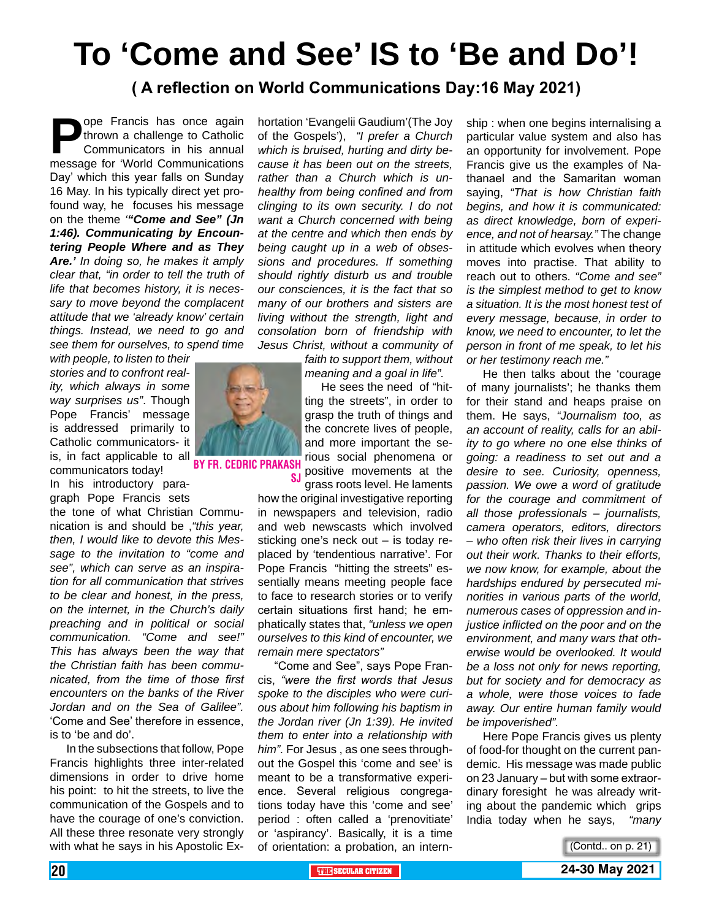## **To 'Come and See' IS to 'Be and Do'!**

**( A reflection on World Communications Day:16 May 2021)**

**Pope Francis has once again thrown a challenge to Catholic Communicators in his annual message for 'World Communications'** thrown a challenge to Catholic Communicators in his annual Day' which this year falls on Sunday 16 May. In his typically direct yet profound way, he focuses his message on the theme *'"Come and See" (Jn 1:46). Communicating by Encountering People Where and as They Are.' In doing so, he makes it amply clear that, "in order to tell the truth of life that becomes history, it is necessary to move beyond the complacent attitude that we 'already know' certain things. Instead, we need to go and see them for ourselves, to spend time* 

*with people, to listen to their stories and to confront reality, which always in some way surprises us"*. Though Pope Francis' message is addressed primarily to Catholic communicators- it is, in fact applicable to all communicators today!

In his introductory paragraph Pope Francis sets

the tone of what Christian Communication is and should be ,*"this year, then, I would like to devote this Message to the invitation to "come and see", which can serve as an inspiration for all communication that strives to be clear and honest, in the press, on the internet, in the Church's daily preaching and in political or social communication. "Come and see!" This has always been the way that the Christian faith has been communicated, from the time of those first encounters on the banks of the River Jordan and on the Sea of Galilee".* 'Come and See' therefore in essence, is to 'be and do'.

In the subsections that follow, Pope Francis highlights three inter-related dimensions in order to drive home his point: to hit the streets, to live the communication of the Gospels and to have the courage of one's conviction. All these three resonate very strongly with what he says in his Apostolic Exhortation 'Evangelii Gaudium'(The Joy of the Gospels'), *"I prefer a Church which is bruised, hurting and dirty because it has been out on the streets, rather than a Church which is unhealthy from being confined and from clinging to its own security. I do not want a Church concerned with being at the centre and which then ends by being caught up in a web of obsessions and procedures. If something should rightly disturb us and trouble our consciences, it is the fact that so many of our brothers and sisters are living without the strength, light and consolation born of friendship with Jesus Christ, without a community of* 

> *faith to support them, without meaning and a goal in life".*

He sees the need of "hitting the streets", in order to grasp the truth of things and the concrete lives of people, and more important the serious social phenomena or positive movements at the

grass roots level. He laments how the original investigative reporting in newspapers and television, radio and web newscasts which involved sticking one's neck out – is today replaced by 'tendentious narrative'. For Pope Francis "hitting the streets" essentially means meeting people face to face to research stories or to verify certain situations first hand; he emphatically states that, *"unless we open ourselves to this kind of encounter, we remain mere spectators"*

"Come and See", says Pope Francis, *"were the first words that Jesus spoke to the disciples who were curious about him following his baptism in the Jordan river (Jn 1:39). He invited them to enter into a relationship with him".* For Jesus , as one sees throughout the Gospel this 'come and see' is meant to be a transformative experience. Several religious congregations today have this 'come and see' period : often called a 'prenovitiate' or 'aspirancy'. Basically, it is a time of orientation: a probation, an intern-

ship : when one begins internalising a particular value system and also has an opportunity for involvement. Pope Francis give us the examples of Nathanael and the Samaritan woman saying, *"That is how Christian faith begins, and how it is communicated: as direct knowledge, born of experience, and not of hearsay."* The change in attitude which evolves when theory moves into practise. That ability to reach out to others. *"Come and see" is the simplest method to get to know a situation. It is the most honest test of every message, because, in order to know, we need to encounter, to let the person in front of me speak, to let his or her testimony reach me."*

He then talks about the 'courage of many journalists'; he thanks them for their stand and heaps praise on them. He says, *"Journalism too, as an account of reality, calls for an ability to go where no one else thinks of going: a readiness to set out and a desire to see. Curiosity, openness, passion. We owe a word of gratitude for the courage and commitment of all those professionals – journalists, camera operators, editors, directors – who often risk their lives in carrying out their work. Thanks to their efforts, we now know, for example, about the hardships endured by persecuted minorities in various parts of the world, numerous cases of oppression and injustice inflicted on the poor and on the environment, and many wars that otherwise would be overlooked. It would be a loss not only for news reporting, but for society and for democracy as a whole, were those voices to fade away. Our entire human family would be impoverished".*

Here Pope Francis gives us plenty of food-for thought on the current pandemic. His message was made public on 23 January – but with some extraordinary foresight he was already writing about the pandemic which grips India today when he says, *"many* 

(Contd.. on p. 21)



by fr. cedric Prakash sj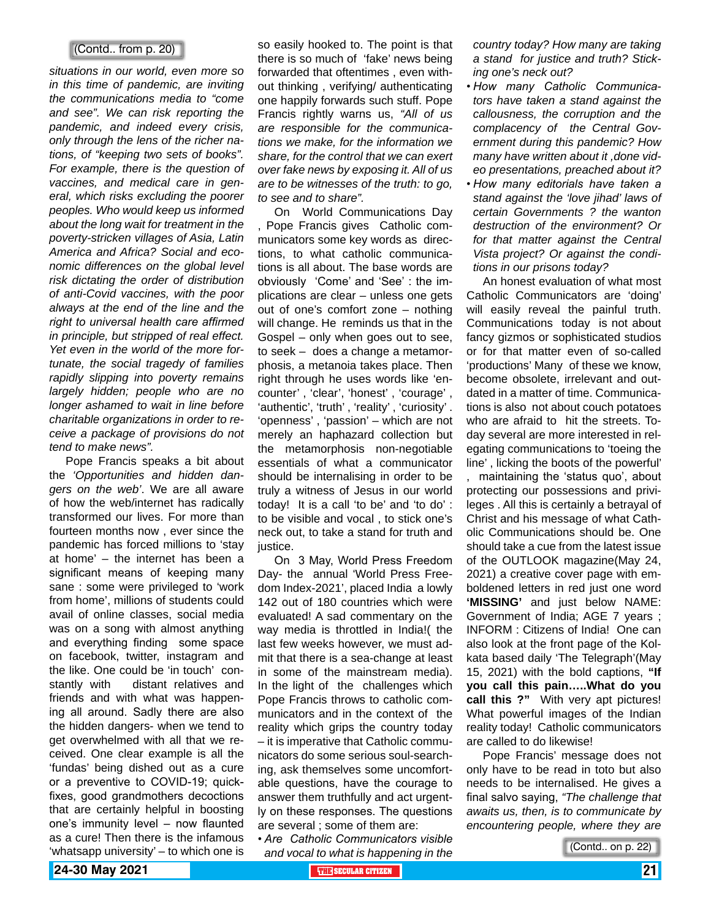#### (Contd.. from p. 20)

*situations in our world, even more so in this time of pandemic, are inviting the communications media to "come and see". We can risk reporting the pandemic, and indeed every crisis, only through the lens of the richer nations, of "keeping two sets of books". For example, there is the question of vaccines, and medical care in general, which risks excluding the poorer peoples. Who would keep us informed about the long wait for treatment in the poverty-stricken villages of Asia, Latin America and Africa? Social and economic differences on the global level risk dictating the order of distribution of anti-Covid vaccines, with the poor always at the end of the line and the right to universal health care affirmed in principle, but stripped of real effect. Yet even in the world of the more fortunate, the social tragedy of families rapidly slipping into poverty remains largely hidden; people who are no longer ashamed to wait in line before charitable organizations in order to receive a package of provisions do not tend to make news".*

Pope Francis speaks a bit about the *'Opportunities and hidden dangers on the web'*. We are all aware of how the web/internet has radically transformed our lives. For more than fourteen months now , ever since the pandemic has forced millions to 'stay at home' – the internet has been a significant means of keeping many sane : some were privileged to 'work from home', millions of students could avail of online classes, social media was on a song with almost anything and everything finding some space on facebook, twitter, instagram and the like. One could be 'in touch' constantly with distant relatives and friends and with what was happening all around. Sadly there are also the hidden dangers- when we tend to get overwhelmed with all that we received. One clear example is all the 'fundas' being dished out as a cure or a preventive to COVID-19; quickfixes, good grandmothers decoctions that are certainly helpful in boosting one's immunity level – now flaunted as a cure! Then there is the infamous 'whatsapp university' – to which one is

so easily hooked to. The point is that there is so much of 'fake' news being forwarded that oftentimes , even without thinking , verifying/ authenticating one happily forwards such stuff. Pope Francis rightly warns us, *"All of us are responsible for the communications we make, for the information we share, for the control that we can exert over fake news by exposing it. All of us are to be witnesses of the truth: to go, to see and to share".*

On World Communications Day , Pope Francis gives Catholic communicators some key words as directions, to what catholic communications is all about. The base words are obviously 'Come' and 'See' : the implications are clear – unless one gets out of one's comfort zone – nothing will change. He reminds us that in the Gospel – only when goes out to see, to seek – does a change a metamorphosis, a metanoia takes place. Then right through he uses words like 'encounter' , 'clear', 'honest' , 'courage' , 'authentic', 'truth' , 'reality' , 'curiosity' . 'openness' , 'passion' – which are not merely an haphazard collection but the metamorphosis non-negotiable essentials of what a communicator should be internalising in order to be truly a witness of Jesus in our world today! It is a call 'to be' and 'to do' : to be visible and vocal , to stick one's neck out, to take a stand for truth and justice.

On 3 May, World Press Freedom Day- the annual 'World Press Freedom Index-2021', placed India a lowly 142 out of 180 countries which were evaluated! A sad commentary on the way media is throttled in India!( the last few weeks however, we must admit that there is a sea-change at least in some of the mainstream media). In the light of the challenges which Pope Francis throws to catholic communicators and in the context of the reality which grips the country today – it is imperative that Catholic communicators do some serious soul-searching, ask themselves some uncomfortable questions, have the courage to answer them truthfully and act urgently on these responses. The questions are several ; some of them are:

*• Are Catholic Communicators visible and vocal to what is happening in the* 

*country today? How many are taking a stand for justice and truth? Sticking one's neck out?*

- *• How many Catholic Communicators have taken a stand against the callousness, the corruption and the complacency of the Central Government during this pandemic? How many have written about it ,done video presentations, preached about it?*
- *• How many editorials have taken a stand against the 'love jihad' laws of certain Governments ? the wanton destruction of the environment? Or for that matter against the Central Vista project? Or against the conditions in our prisons today?*

An honest evaluation of what most Catholic Communicators are 'doing' will easily reveal the painful truth. Communications today is not about fancy gizmos or sophisticated studios or for that matter even of so-called 'productions' Many of these we know, become obsolete, irrelevant and outdated in a matter of time. Communications is also not about couch potatoes who are afraid to hit the streets. Today several are more interested in relegating communications to 'toeing the line' , licking the boots of the powerful'

, maintaining the 'status quo', about protecting our possessions and privileges . All this is certainly a betrayal of Christ and his message of what Catholic Communications should be. One should take a cue from the latest issue of the OUTLOOK magazine(May 24, 2021) a creative cover page with emboldened letters in red just one word **'MISSING'** and just below NAME: Government of India; AGE 7 years ; INFORM : Citizens of India! One can also look at the front page of the Kolkata based daily 'The Telegraph'(May 15, 2021) with the bold captions, **"If you call this pain…..What do you call this ?"** With very apt pictures! What powerful images of the Indian reality today! Catholic communicators are called to do likewise!

Pope Francis' message does not only have to be read in toto but also needs to be internalised. He gives a final salvo saying, *"The challenge that awaits us, then, is to communicate by encountering people, where they are* 

(Contd.. on p. 22)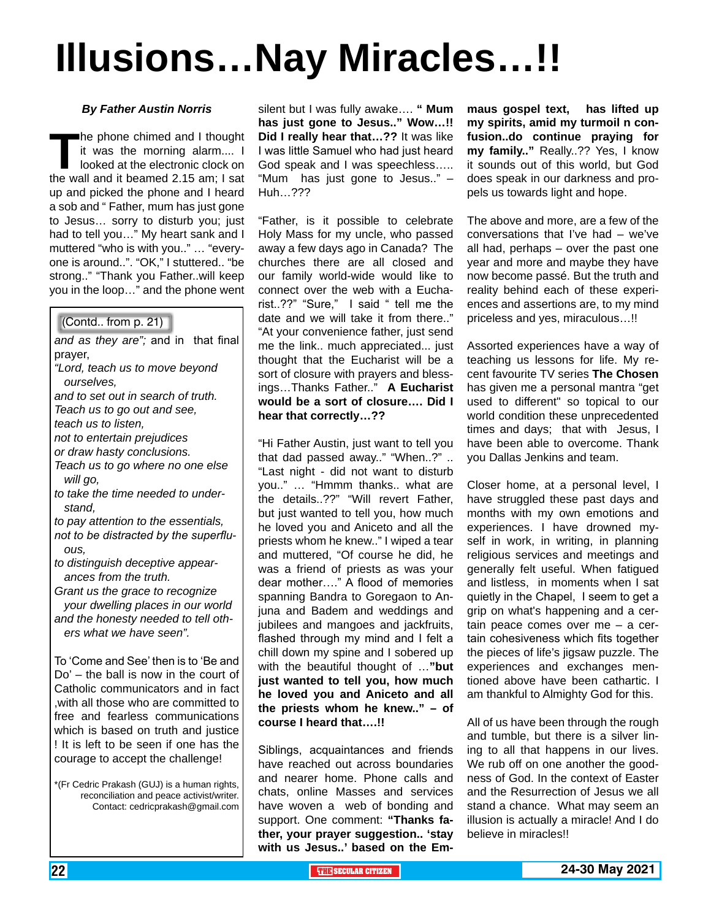# **Illusions…Nay Miracles…!!**

### *By Father Austin Norris*

The phone chimed and I thought<br>
it was the morning alarm.... I<br>
looked at the electronic clock on<br>
the wall and it beamed 2.15 am; I sat it was the morning alarm.... I looked at the electronic clock on up and picked the phone and I heard a sob and " Father, mum has just gone to Jesus… sorry to disturb you; just had to tell you…" My heart sank and I muttered "who is with you.." … "everyone is around..". "OK," I stuttered.. "be strong.." "Thank you Father..will keep you in the loop…" and the phone went

### (Contd.. from p. 21)

*and as they are";* and in that final prayer, *"Lord, teach us to move beyond ourselves, and to set out in search of truth. Teach us to go out and see, teach us to listen, not to entertain prejudices or draw hasty conclusions. Teach us to go where no one else will go, to take the time needed to understand, to pay attention to the essentials, not to be distracted by the superfluous, to distinguish deceptive appearances from the truth. Grant us the grace to recognize your dwelling places in our world and the honesty needed to tell others what we have seen".* To 'Come and See' then is to 'Be and Do' – the ball is now in the court of Catholic communicators and in fact ,with all those who are committed to free and fearless communications which is based on truth and justice

\*(Fr Cedric Prakash (GUJ) is a human rights, reconciliation and peace activist/writer. Contact: cedricprakash@gmail.com

! It is left to be seen if one has the courage to accept the challenge!

silent but I was fully awake…. **" Mum has just gone to Jesus.." Wow…!! Did I really hear that…??** It was like I was little Samuel who had just heard God speak and I was speechless….. "Mum has just gone to Jesus.." – Huh…???

"Father, is it possible to celebrate Holy Mass for my uncle, who passed away a few days ago in Canada? The churches there are all closed and our family world-wide would like to connect over the web with a Eucharist..??" "Sure," I said " tell me the date and we will take it from there.." "At your convenience father, just send me the link.. much appreciated... just thought that the Eucharist will be a sort of closure with prayers and blessings…Thanks Father.." **A Eucharist would be a sort of closure…. Did I hear that correctly…??**

"Hi Father Austin, just want to tell you that dad passed away.." "When..?" .. "Last night - did not want to disturb you.." … "Hmmm thanks.. what are the details..??" "Will revert Father, but just wanted to tell you, how much he loved you and Aniceto and all the priests whom he knew.." I wiped a tear and muttered, "Of course he did, he was a friend of priests as was your dear mother…." A flood of memories spanning Bandra to Goregaon to Anjuna and Badem and weddings and jubilees and mangoes and jackfruits, flashed through my mind and I felt a chill down my spine and I sobered up with the beautiful thought of …**"but just wanted to tell you, how much he loved you and Aniceto and all the priests whom he knew.." – of course I heard that….!!**

Siblings, acquaintances and friends have reached out across boundaries and nearer home. Phone calls and chats, online Masses and services have woven a web of bonding and support. One comment: **"Thanks father, your prayer suggestion.. 'stay with us Jesus..' based on the Em-** **maus gospel text, has lifted up my spirits, amid my turmoil n confusion..do continue praying for my family.."** Really..?? Yes, I know it sounds out of this world, but God does speak in our darkness and propels us towards light and hope.

The above and more, are a few of the conversations that I've had – we've all had, perhaps – over the past one year and more and maybe they have now become passé. But the truth and reality behind each of these experiences and assertions are, to my mind priceless and yes, miraculous…!!

Assorted experiences have a way of teaching us lessons for life. My recent favourite TV series **The Chosen** has given me a personal mantra "get used to different" so topical to our world condition these unprecedented times and days; that with Jesus, I have been able to overcome. Thank you Dallas Jenkins and team.

Closer home, at a personal level, I have struggled these past days and months with my own emotions and experiences. I have drowned myself in work, in writing, in planning religious services and meetings and generally felt useful. When fatigued and listless, in moments when I sat quietly in the Chapel, I seem to get a grip on what's happening and a certain peace comes over me – a certain cohesiveness which fits together the pieces of life's jigsaw puzzle. The experiences and exchanges mentioned above have been cathartic. I am thankful to Almighty God for this.

All of us have been through the rough and tumble, but there is a silver lining to all that happens in our lives. We rub off on one another the goodness of God. In the context of Easter and the Resurrection of Jesus we all stand a chance. What may seem an illusion is actually a miracle! And I do believe in miracles!!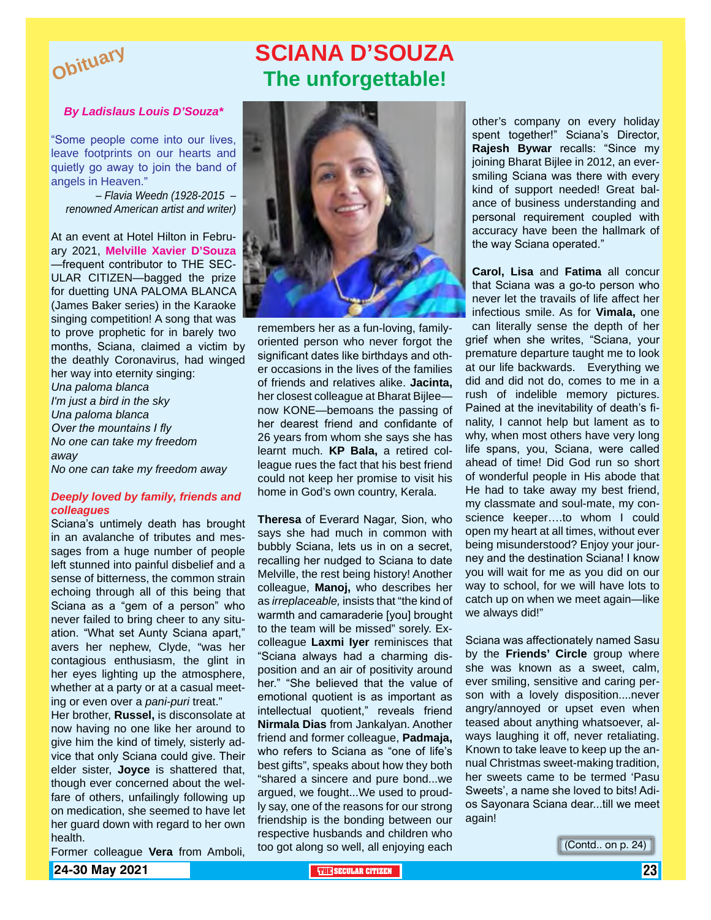

### **SCIANA D'SOUZA Obituary The unforgettable!**

#### *By Ladislaus Louis D'Souza\**

"Some people come into our lives, leave footprints on our hearts and quietly go away to join the band of angels in Heaven."

– *Flavia Weedn (1928-2015 – renowned American artist and writer)*

At an event at Hotel Hilton in February 2021, **Melville Xavier D'Souza**  —frequent contributor to THE SEC-ULAR CITIZEN—bagged the prize for duetting UNA PALOMA BLANCA (James Baker series) in the Karaoke singing competition! A song that was to prove prophetic for in barely two months, Sciana, claimed a victim by the deathly Coronavirus, had winged her way into eternity singing: *Una paloma blanca I'm just a bird in the sky Una paloma blanca Over the mountains I fly No one can take my freedom away No one can take my freedom away*

#### *Deeply loved by family, friends and colleagues*

Sciana's untimely death has brought in an avalanche of tributes and messages from a huge number of people left stunned into painful disbelief and a sense of bitterness, the common strain echoing through all of this being that Sciana as a "gem of a person" who never failed to bring cheer to any situation. "What set Aunty Sciana apart," avers her nephew, Clyde, "was her contagious enthusiasm, the glint in her eyes lighting up the atmosphere, whether at a party or at a casual meeting or even over a *pani-puri* treat."

Her brother, **Russel,** is disconsolate at now having no one like her around to give him the kind of timely, sisterly advice that only Sciana could give. Their elder sister, **Joyce** is shattered that, though ever concerned about the welfare of others, unfailingly following up on medication, she seemed to have let her guard down with regard to her own health.

Former colleague **Vera** from Amboli,



remembers her as a fun-loving, familyoriented person who never forgot the significant dates like birthdays and other occasions in the lives of the families of friends and relatives alike. **Jacinta,** her closest colleague at Bharat Bijlee now KONE—bemoans the passing of her dearest friend and confidante of 26 years from whom she says she has learnt much. **KP Bala,** a retired colleague rues the fact that his best friend could not keep her promise to visit his home in God's own country, Kerala.

**Theresa** of Everard Nagar, Sion, who says she had much in common with bubbly Sciana, lets us in on a secret, recalling her nudged to Sciana to date Melville, the rest being history! Another colleague, **Manoj,** who describes her as *irreplaceable,* insists that "the kind of warmth and camaraderie [you] brought to the team will be missed" sorely. Excolleague **Laxmi Iyer** reminisces that "Sciana always had a charming disposition and an air of positivity around her." "She believed that the value of emotional quotient is as important as intellectual quotient," reveals friend **Nirmala Dias** from Jankalyan. Another friend and former colleague, **Padmaja,** who refers to Sciana as "one of life's best gifts", speaks about how they both "shared a sincere and pure bond...we argued, we fought...We used to proudly say, one of the reasons for our strong friendship is the bonding between our respective husbands and children who too got along so well, all enjoying each

other's company on every holiday spent together!" Sciana's Director, **Rajesh Bywar** recalls: "Since my joining Bharat Bijlee in 2012, an eversmiling Sciana was there with every kind of support needed! Great balance of business understanding and personal requirement coupled with accuracy have been the hallmark of the way Sciana operated."

**Carol, Lisa** and **Fatima** all concur that Sciana was a go-to person who never let the travails of life affect her infectious smile. As for **Vimala,** one

can literally sense the depth of her grief when she writes, "Sciana, your premature departure taught me to look at our life backwards. Everything we did and did not do, comes to me in a rush of indelible memory pictures. Pained at the inevitability of death's finality, I cannot help but lament as to why, when most others have very long life spans, you, Sciana, were called ahead of time! Did God run so short of wonderful people in His abode that He had to take away my best friend, my classmate and soul-mate, my conscience keeper….to whom I could open my heart at all times, without ever being misunderstood? Enjoy your journey and the destination Sciana! I know you will wait for me as you did on our way to school, for we will have lots to catch up on when we meet again—like we always did!"

Sciana was affectionately named Sasu by the **Friends' Circle** group where she was known as a sweet, calm, ever smiling, sensitive and caring person with a lovely disposition....never angry/annoyed or upset even when teased about anything whatsoever, always laughing it off, never retaliating. Known to take leave to keep up the annual Christmas sweet-making tradition, her sweets came to be termed 'Pasu Sweets', a name she loved to bits! Adios Sayonara Sciana dear...till we meet again!

(Contd.. on p. 24)

**24-30 May 2021 The Security of the Security Construction of the SECULAR CITIZEN 23 AND 23**